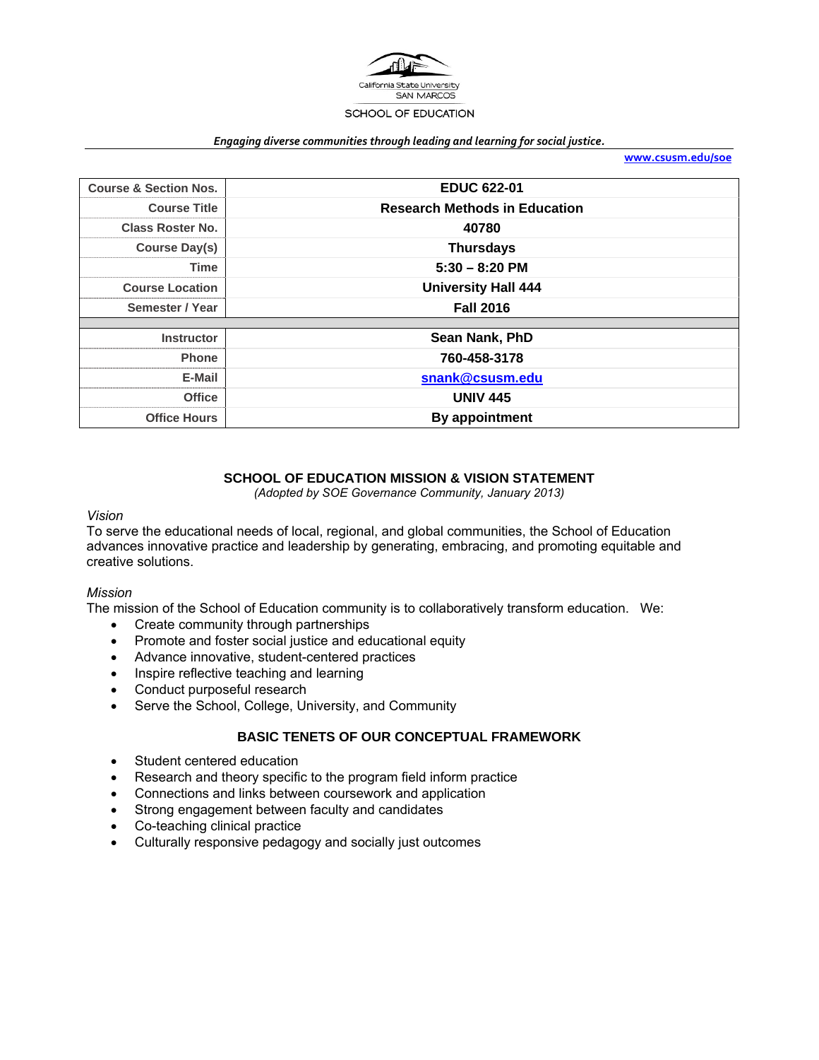

#### *Engaging diverse communities through leading and learning for social justice.*

**www.csusm.edu/soe**

| <b>Course &amp; Section Nos.</b> | <b>EDUC 622-01</b>                   |
|----------------------------------|--------------------------------------|
| <b>Course Title</b>              | <b>Research Methods in Education</b> |
| <b>Class Roster No.</b>          | 40780                                |
| Course Day(s)                    | <b>Thursdays</b>                     |
| <b>Time</b>                      | $5:30 - 8:20$ PM                     |
| <b>Course Location</b>           | <b>University Hall 444</b>           |
| Semester / Year                  | <b>Fall 2016</b>                     |
|                                  |                                      |
| <b>Instructor</b>                | Sean Nank, PhD                       |
| <b>Phone</b>                     | 760-458-3178                         |
| E-Mail                           | snank@csusm.edu                      |
| <b>Office</b>                    | <b>UNIV 445</b>                      |
| <b>Office Hours</b>              | By appointment                       |

## **SCHOOL OF EDUCATION MISSION & VISION STATEMENT**

*(Adopted by SOE Governance Community, January 2013)* 

### *Vision*

To serve the educational needs of local, regional, and global communities, the School of Education advances innovative practice and leadership by generating, embracing, and promoting equitable and creative solutions.

### *Mission*

The mission of the School of Education community is to collaboratively transform education. We:

- Create community through partnerships
- Promote and foster social justice and educational equity
- Advance innovative, student-centered practices
- Inspire reflective teaching and learning
- Conduct purposeful research
- Serve the School, College, University, and Community

# **BASIC TENETS OF OUR CONCEPTUAL FRAMEWORK**

- Student centered education
- Research and theory specific to the program field inform practice
- Connections and links between coursework and application
- Strong engagement between faculty and candidates
- Co-teaching clinical practice
- Culturally responsive pedagogy and socially just outcomes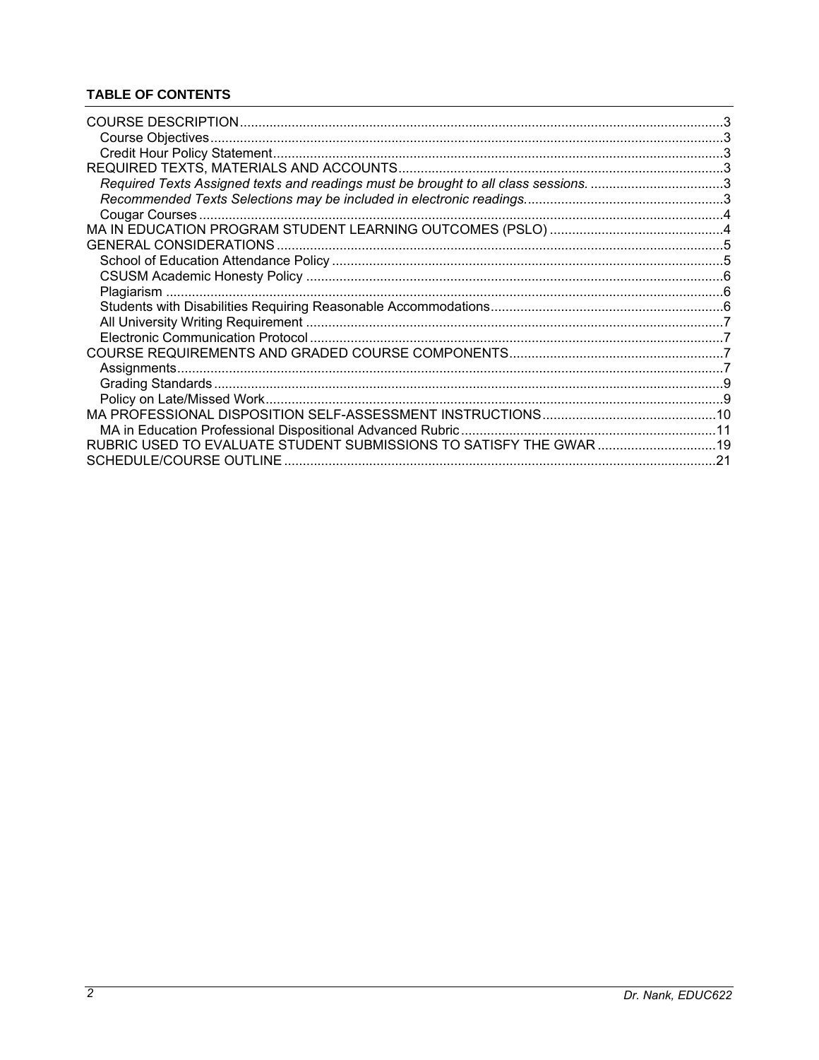# **TABLE OF CONTENTS**

| Required Texts Assigned texts and readings must be brought to all class sessions3 |  |
|-----------------------------------------------------------------------------------|--|
|                                                                                   |  |
|                                                                                   |  |
|                                                                                   |  |
|                                                                                   |  |
|                                                                                   |  |
|                                                                                   |  |
|                                                                                   |  |
|                                                                                   |  |
|                                                                                   |  |
|                                                                                   |  |
|                                                                                   |  |
|                                                                                   |  |
|                                                                                   |  |
|                                                                                   |  |
|                                                                                   |  |
|                                                                                   |  |
| RUBRIC USED TO EVALUATE STUDENT SUBMISSIONS TO SATISFY THE GWAR 19                |  |
|                                                                                   |  |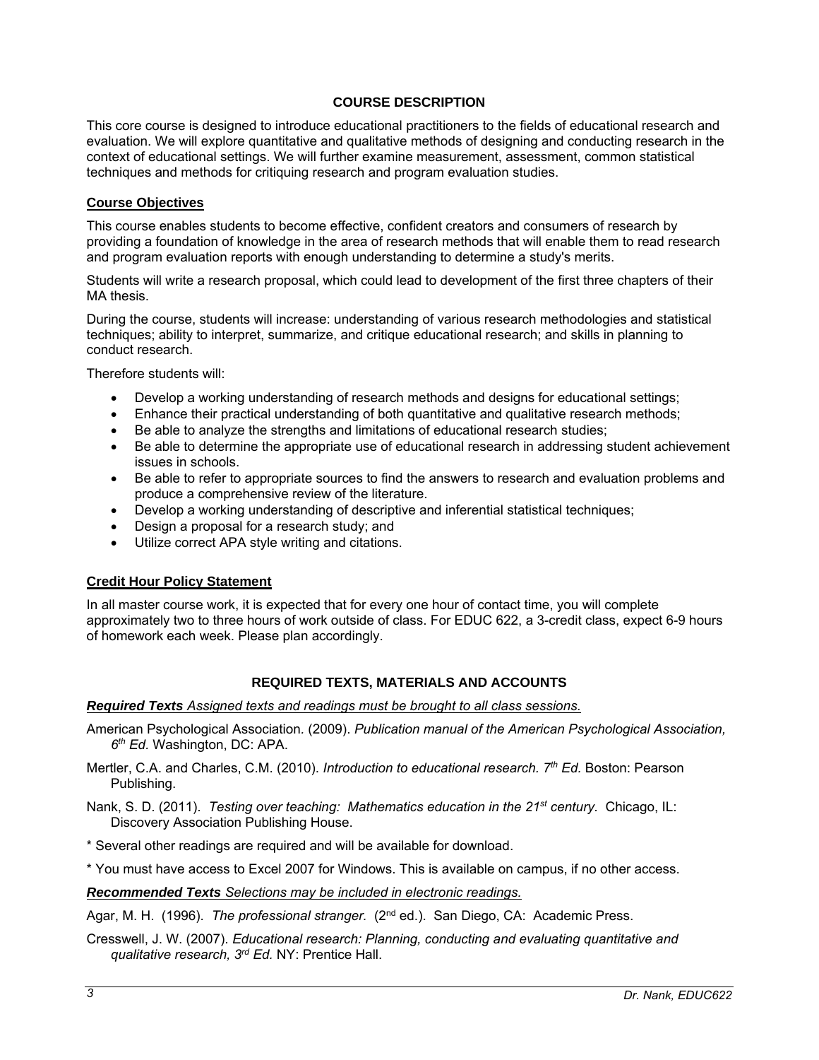## **COURSE DESCRIPTION**

This core course is designed to introduce educational practitioners to the fields of educational research and evaluation. We will explore quantitative and qualitative methods of designing and conducting research in the context of educational settings. We will further examine measurement, assessment, common statistical techniques and methods for critiquing research and program evaluation studies.

### **Course Objectives**

This course enables students to become effective, confident creators and consumers of research by providing a foundation of knowledge in the area of research methods that will enable them to read research and program evaluation reports with enough understanding to determine a study's merits.

Students will write a research proposal, which could lead to development of the first three chapters of their MA thesis.

During the course, students will increase: understanding of various research methodologies and statistical techniques; ability to interpret, summarize, and critique educational research; and skills in planning to conduct research.

Therefore students will:

- Develop a working understanding of research methods and designs for educational settings;
- Enhance their practical understanding of both quantitative and qualitative research methods;
- Be able to analyze the strengths and limitations of educational research studies;
- Be able to determine the appropriate use of educational research in addressing student achievement issues in schools.
- Be able to refer to appropriate sources to find the answers to research and evaluation problems and produce a comprehensive review of the literature.
- Develop a working understanding of descriptive and inferential statistical techniques;
- Design a proposal for a research study; and
- Utilize correct APA style writing and citations.

## **Credit Hour Policy Statement**

In all master course work, it is expected that for every one hour of contact time, you will complete approximately two to three hours of work outside of class. For EDUC 622, a 3-credit class, expect 6-9 hours of homework each week. Please plan accordingly.

## **REQUIRED TEXTS, MATERIALS AND ACCOUNTS**

### *Required Texts Assigned texts and readings must be brought to all class sessions.*

- American Psychological Association*.* (2009). *Publication manual of the American Psychological Association, 6th Ed.* Washington, DC: APA.
- Mertler, C.A. and Charles, C.M. (2010). *Introduction to educational research. 7th Ed.* Boston: Pearson Publishing.
- Nank, S. D. (2011). *Testing over teaching: Mathematics education in the 21st century.* Chicago, IL: Discovery Association Publishing House.
- \* Several other readings are required and will be available for download.

\* You must have access to Excel 2007 for Windows. This is available on campus, if no other access.

### *Recommended Texts Selections may be included in electronic readings.*

Agar, M. H. (1996). *The professional stranger.* (2<sup>nd</sup> ed.). San Diego, CA: Academic Press.

Cresswell, J. W. (2007). *Educational research: Planning, conducting and evaluating quantitative and qualitative research, 3rd Ed.* NY: Prentice Hall.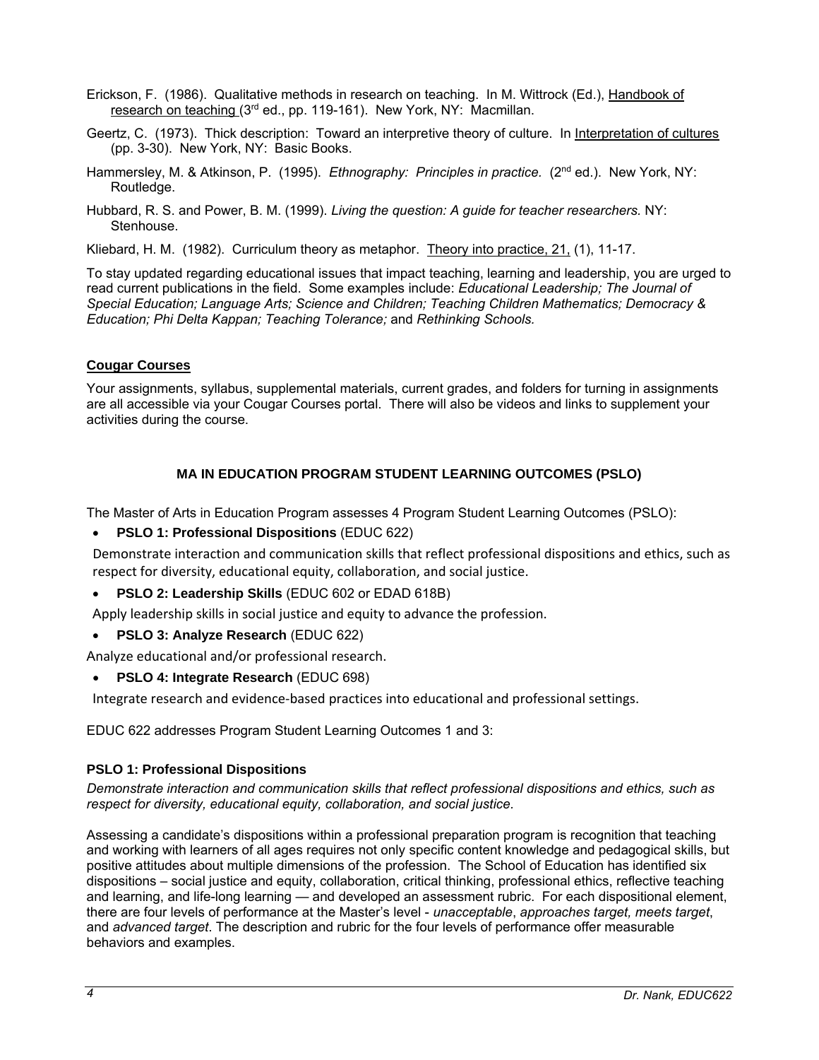- Erickson, F. (1986). Qualitative methods in research on teaching. In M. Wittrock (Ed.), Handbook of research on teaching (3<sup>rd</sup> ed., pp. 119-161). New York, NY: Macmillan.
- Geertz, C. (1973). Thick description: Toward an interpretive theory of culture. In Interpretation of cultures (pp. 3-30). New York, NY: Basic Books.
- Hammersley, M. & Atkinson, P. (1995). *Ethnography: Principles in practice.* (2nd ed.). New York, NY: Routledge.
- Hubbard, R. S. and Power, B. M. (1999). *Living the question: A guide for teacher researchers.* NY: Stenhouse.
- Kliebard, H. M. (1982). Curriculum theory as metaphor. Theory into practice, 21, (1), 11-17.

To stay updated regarding educational issues that impact teaching, learning and leadership, you are urged to read current publications in the field. Some examples include: *Educational Leadership; The Journal of Special Education; Language Arts; Science and Children; Teaching Children Mathematics; Democracy & Education; Phi Delta Kappan; Teaching Tolerance;* and *Rethinking Schools.*

## **Cougar Courses**

Your assignments, syllabus, supplemental materials, current grades, and folders for turning in assignments are all accessible via your Cougar Courses portal. There will also be videos and links to supplement your activities during the course.

# **MA IN EDUCATION PROGRAM STUDENT LEARNING OUTCOMES (PSLO)**

The Master of Arts in Education Program assesses 4 Program Student Learning Outcomes (PSLO):

**PSLO 1: Professional Dispositions** (EDUC 622)

Demonstrate interaction and communication skills that reflect professional dispositions and ethics, such as respect for diversity, educational equity, collaboration, and social justice.

- **PSLO 2: Leadership Skills** (EDUC 602 or EDAD 618B)
- Apply leadership skills in social justice and equity to advance the profession.
- **PSLO 3: Analyze Research** (EDUC 622)

Analyze educational and/or professional research.

**PSLO 4: Integrate Research** (EDUC 698)

Integrate research and evidence‐based practices into educational and professional settings.

EDUC 622 addresses Program Student Learning Outcomes 1 and 3:

# **PSLO 1: Professional Dispositions**

*Demonstrate interaction and communication skills that reflect professional dispositions and ethics, such as respect for diversity, educational equity, collaboration, and social justice.*

Assessing a candidate's dispositions within a professional preparation program is recognition that teaching and working with learners of all ages requires not only specific content knowledge and pedagogical skills, but positive attitudes about multiple dimensions of the profession. The School of Education has identified six dispositions – social justice and equity, collaboration, critical thinking, professional ethics, reflective teaching and learning, and life-long learning — and developed an assessment rubric. For each dispositional element, there are four levels of performance at the Master's level - *unacceptable*, *approaches target, meets target*, and *advanced target*. The description and rubric for the four levels of performance offer measurable behaviors and examples.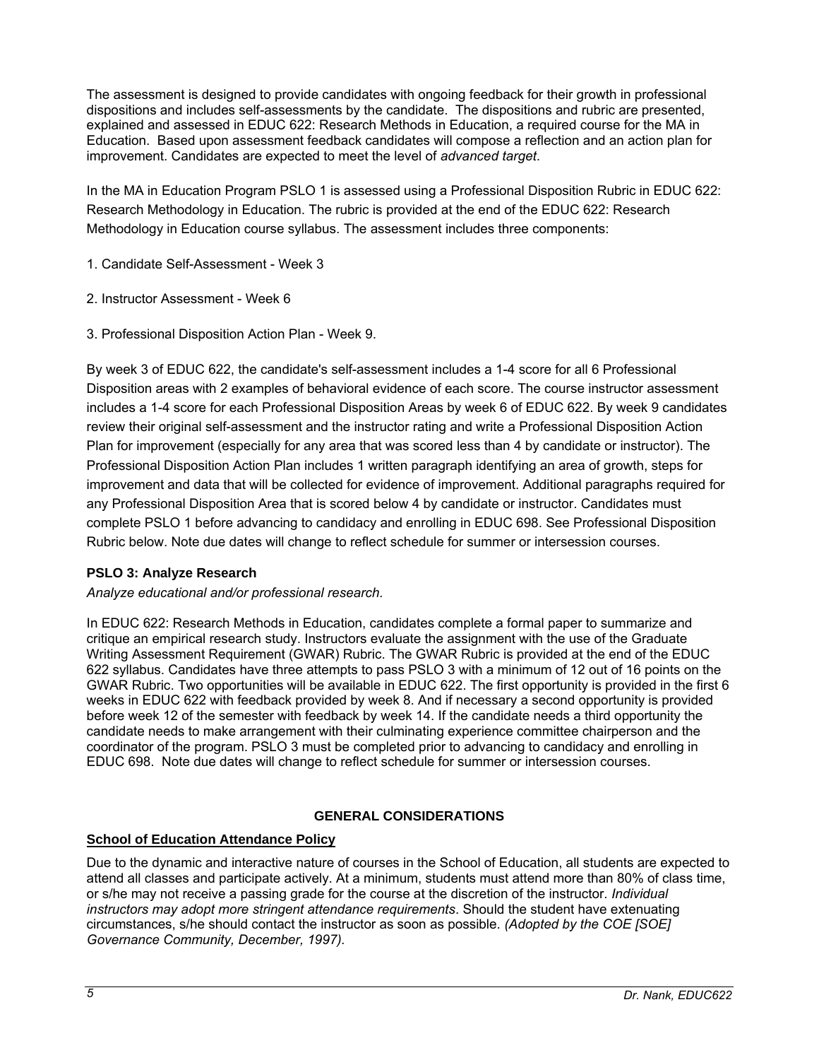The assessment is designed to provide candidates with ongoing feedback for their growth in professional dispositions and includes self-assessments by the candidate. The dispositions and rubric are presented, explained and assessed in EDUC 622: Research Methods in Education, a required course for the MA in Education. Based upon assessment feedback candidates will compose a reflection and an action plan for improvement. Candidates are expected to meet the level of *advanced target*.

In the MA in Education Program PSLO 1 is assessed using a Professional Disposition Rubric in EDUC 622: Research Methodology in Education. The rubric is provided at the end of the EDUC 622: Research Methodology in Education course syllabus. The assessment includes three components:

- 1. Candidate Self-Assessment Week 3
- 2. Instructor Assessment Week 6
- 3. Professional Disposition Action Plan Week 9.

By week 3 of EDUC 622, the candidate's self-assessment includes a 1-4 score for all 6 Professional Disposition areas with 2 examples of behavioral evidence of each score. The course instructor assessment includes a 1-4 score for each Professional Disposition Areas by week 6 of EDUC 622. By week 9 candidates review their original self-assessment and the instructor rating and write a Professional Disposition Action Plan for improvement (especially for any area that was scored less than 4 by candidate or instructor). The Professional Disposition Action Plan includes 1 written paragraph identifying an area of growth, steps for improvement and data that will be collected for evidence of improvement. Additional paragraphs required for any Professional Disposition Area that is scored below 4 by candidate or instructor. Candidates must complete PSLO 1 before advancing to candidacy and enrolling in EDUC 698. See Professional Disposition Rubric below. Note due dates will change to reflect schedule for summer or intersession courses.

## **PSLO 3: Analyze Research**

*Analyze educational and/or professional research.*

In EDUC 622: Research Methods in Education, candidates complete a formal paper to summarize and critique an empirical research study. Instructors evaluate the assignment with the use of the Graduate Writing Assessment Requirement (GWAR) Rubric. The GWAR Rubric is provided at the end of the EDUC 622 syllabus. Candidates have three attempts to pass PSLO 3 with a minimum of 12 out of 16 points on the GWAR Rubric. Two opportunities will be available in EDUC 622. The first opportunity is provided in the first 6 weeks in EDUC 622 with feedback provided by week 8. And if necessary a second opportunity is provided before week 12 of the semester with feedback by week 14. If the candidate needs a third opportunity the candidate needs to make arrangement with their culminating experience committee chairperson and the coordinator of the program. PSLO 3 must be completed prior to advancing to candidacy and enrolling in EDUC 698. Note due dates will change to reflect schedule for summer or intersession courses.

# **GENERAL CONSIDERATIONS**

# **School of Education Attendance Policy**

Due to the dynamic and interactive nature of courses in the School of Education, all students are expected to attend all classes and participate actively. At a minimum, students must attend more than 80% of class time, or s/he may not receive a passing grade for the course at the discretion of the instructor. *Individual instructors may adopt more stringent attendance requirements*. Should the student have extenuating circumstances, s/he should contact the instructor as soon as possible. *(Adopted by the COE [SOE] Governance Community, December, 1997).*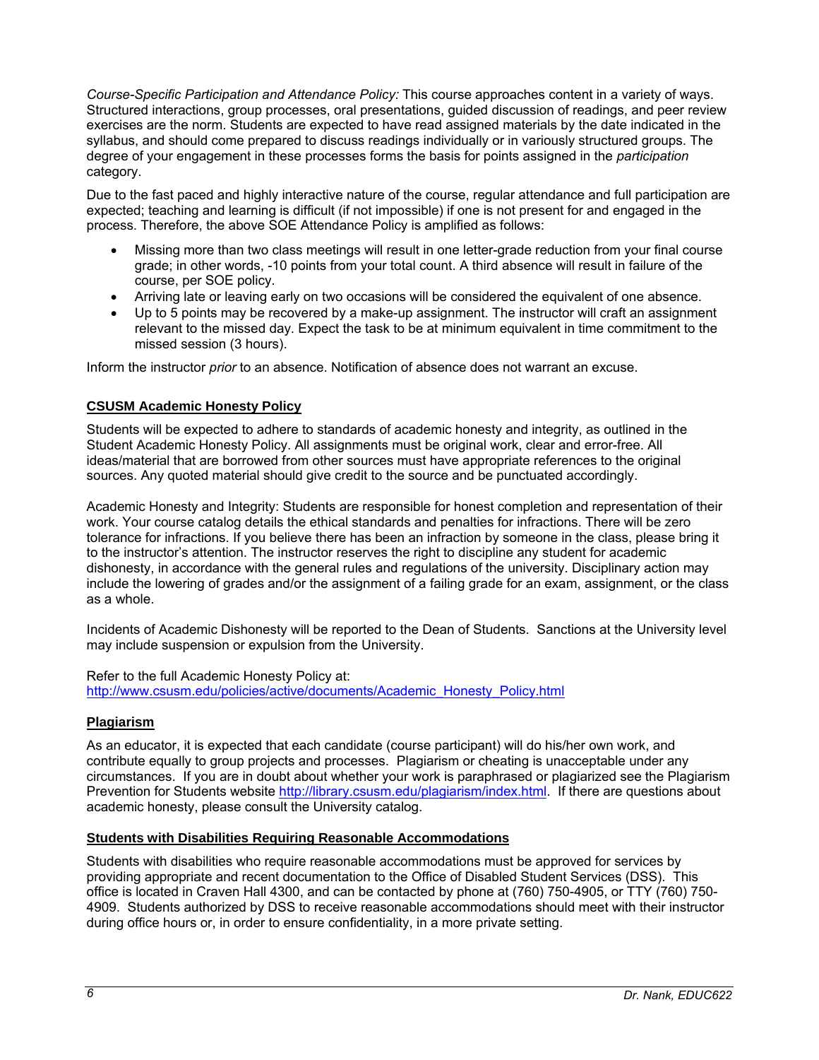*Course-Specific Participation and Attendance Policy:* This course approaches content in a variety of ways. Structured interactions, group processes, oral presentations, guided discussion of readings, and peer review exercises are the norm. Students are expected to have read assigned materials by the date indicated in the syllabus, and should come prepared to discuss readings individually or in variously structured groups. The degree of your engagement in these processes forms the basis for points assigned in the *participation* category.

Due to the fast paced and highly interactive nature of the course, regular attendance and full participation are expected; teaching and learning is difficult (if not impossible) if one is not present for and engaged in the process. Therefore, the above SOE Attendance Policy is amplified as follows:

- Missing more than two class meetings will result in one letter-grade reduction from your final course grade; in other words, -10 points from your total count. A third absence will result in failure of the course, per SOE policy.
- Arriving late or leaving early on two occasions will be considered the equivalent of one absence.
- Up to 5 points may be recovered by a make-up assignment. The instructor will craft an assignment relevant to the missed day. Expect the task to be at minimum equivalent in time commitment to the missed session (3 hours).

Inform the instructor *prior* to an absence. Notification of absence does not warrant an excuse.

## **CSUSM Academic Honesty Policy**

Students will be expected to adhere to standards of academic honesty and integrity, as outlined in the Student Academic Honesty Policy. All assignments must be original work, clear and error-free. All ideas/material that are borrowed from other sources must have appropriate references to the original sources. Any quoted material should give credit to the source and be punctuated accordingly.

Academic Honesty and Integrity: Students are responsible for honest completion and representation of their work. Your course catalog details the ethical standards and penalties for infractions. There will be zero tolerance for infractions. If you believe there has been an infraction by someone in the class, please bring it to the instructor's attention. The instructor reserves the right to discipline any student for academic dishonesty, in accordance with the general rules and regulations of the university. Disciplinary action may include the lowering of grades and/or the assignment of a failing grade for an exam, assignment, or the class as a whole.

Incidents of Academic Dishonesty will be reported to the Dean of Students. Sanctions at the University level may include suspension or expulsion from the University.

Refer to the full Academic Honesty Policy at: http://www.csusm.edu/policies/active/documents/Academic\_Honesty\_Policy.html

## **Plagiarism**

As an educator, it is expected that each candidate (course participant) will do his/her own work, and contribute equally to group projects and processes. Plagiarism or cheating is unacceptable under any circumstances. If you are in doubt about whether your work is paraphrased or plagiarized see the Plagiarism Prevention for Students website http://library.csusm.edu/plagiarism/index.html. If there are questions about academic honesty, please consult the University catalog.

### **Students with Disabilities Requiring Reasonable Accommodations**

Students with disabilities who require reasonable accommodations must be approved for services by providing appropriate and recent documentation to the Office of Disabled Student Services (DSS). This office is located in Craven Hall 4300, and can be contacted by phone at (760) 750-4905, or TTY (760) 750- 4909. Students authorized by DSS to receive reasonable accommodations should meet with their instructor during office hours or, in order to ensure confidentiality, in a more private setting.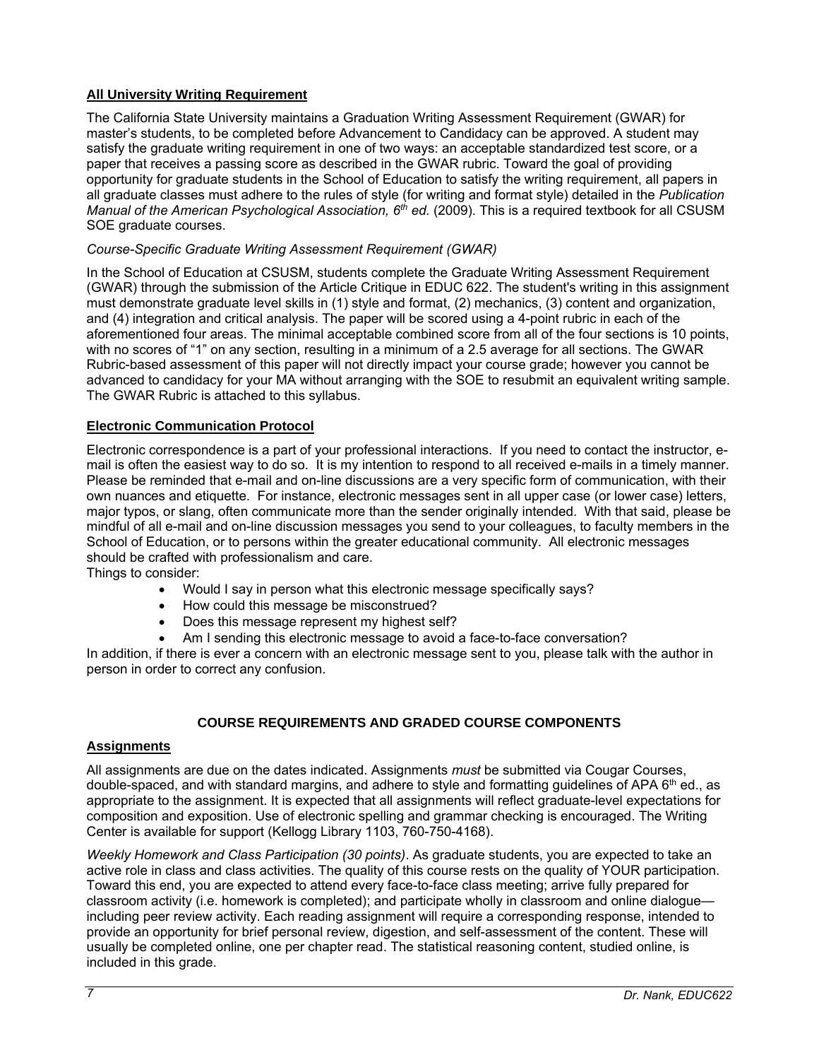# **All University Writing Requirement**

The California State University maintains a Graduation Writing Assessment Requirement (GWAR) for master's students, to be completed before Advancement to Candidacy can be approved. A student may satisfy the graduate writing requirement in one of two ways: an acceptable standardized test score, or a paper that receives a passing score as described in the GWAR rubric. Toward the goal of providing opportunity for graduate students in the School of Education to satisfy the writing requirement, all papers in all graduate classes must adhere to the rules of style (for writing and format style) detailed in the *Publication Manual of the American Psychological Association, 6th ed.* (2009). This is a required textbook for all CSUSM SOE graduate courses.

## *Course-Specific Graduate Writing Assessment Requirement (GWAR)*

In the School of Education at CSUSM, students complete the Graduate Writing Assessment Requirement (GWAR) through the submission of the Article Critique in EDUC 622. The student's writing in this assignment must demonstrate graduate level skills in (1) style and format, (2) mechanics, (3) content and organization, and (4) integration and critical analysis. The paper will be scored using a 4-point rubric in each of the aforementioned four areas. The minimal acceptable combined score from all of the four sections is 10 points, with no scores of "1" on any section, resulting in a minimum of a 2.5 average for all sections. The GWAR Rubric-based assessment of this paper will not directly impact your course grade; however you cannot be advanced to candidacy for your MA without arranging with the SOE to resubmit an equivalent writing sample. The GWAR Rubric is attached to this syllabus.

## **Electronic Communication Protocol**

Electronic correspondence is a part of your professional interactions. If you need to contact the instructor, email is often the easiest way to do so. It is my intention to respond to all received e-mails in a timely manner. Please be reminded that e-mail and on-line discussions are a very specific form of communication, with their own nuances and etiquette. For instance, electronic messages sent in all upper case (or lower case) letters, major typos, or slang, often communicate more than the sender originally intended. With that said, please be mindful of all e-mail and on-line discussion messages you send to your colleagues, to faculty members in the School of Education, or to persons within the greater educational community. All electronic messages should be crafted with professionalism and care.

Things to consider:

- Would I say in person what this electronic message specifically says?
- How could this message be misconstrued?
- Does this message represent my highest self?
- Am I sending this electronic message to avoid a face-to-face conversation?

In addition, if there is ever a concern with an electronic message sent to you, please talk with the author in person in order to correct any confusion.

# **COURSE REQUIREMENTS AND GRADED COURSE COMPONENTS**

## **Assignments**

All assignments are due on the dates indicated. Assignments *must* be submitted via Cougar Courses, double-spaced, and with standard margins, and adhere to style and formatting guidelines of APA 6<sup>th</sup> ed., as appropriate to the assignment. It is expected that all assignments will reflect graduate-level expectations for composition and exposition. Use of electronic spelling and grammar checking is encouraged. The Writing Center is available for support (Kellogg Library 1103, 760-750-4168).

*Weekly Homework and Class Participation (30 points)*. As graduate students, you are expected to take an active role in class and class activities. The quality of this course rests on the quality of YOUR participation. Toward this end, you are expected to attend every face-to-face class meeting; arrive fully prepared for classroom activity (i.e. homework is completed); and participate wholly in classroom and online dialogue including peer review activity. Each reading assignment will require a corresponding response, intended to provide an opportunity for brief personal review, digestion, and self-assessment of the content. These will usually be completed online, one per chapter read. The statistical reasoning content, studied online, is included in this grade.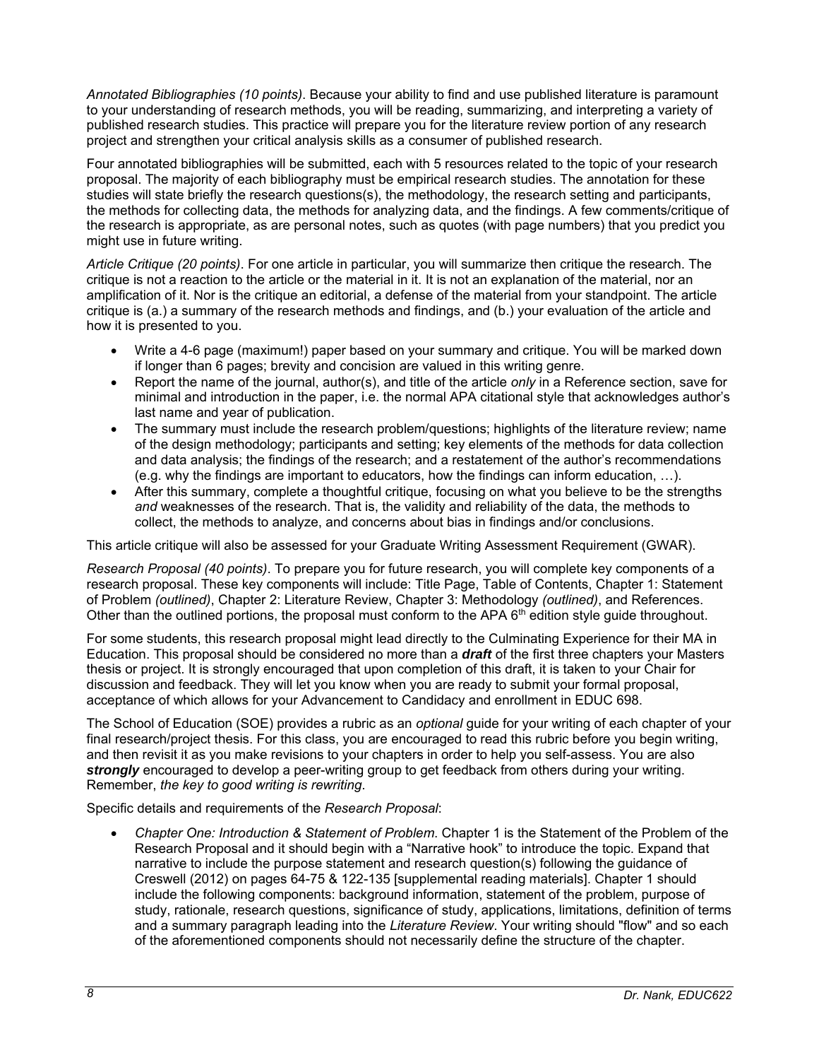*Annotated Bibliographies (10 points)*. Because your ability to find and use published literature is paramount to your understanding of research methods, you will be reading, summarizing, and interpreting a variety of published research studies. This practice will prepare you for the literature review portion of any research project and strengthen your critical analysis skills as a consumer of published research.

Four annotated bibliographies will be submitted, each with 5 resources related to the topic of your research proposal. The majority of each bibliography must be empirical research studies. The annotation for these studies will state briefly the research questions(s), the methodology, the research setting and participants, the methods for collecting data, the methods for analyzing data, and the findings. A few comments/critique of the research is appropriate, as are personal notes, such as quotes (with page numbers) that you predict you might use in future writing.

*Article Critique (20 points)*. For one article in particular, you will summarize then critique the research. The critique is not a reaction to the article or the material in it. It is not an explanation of the material, nor an amplification of it. Nor is the critique an editorial, a defense of the material from your standpoint. The article critique is (a.) a summary of the research methods and findings, and (b.) your evaluation of the article and how it is presented to you.

- Write a 4-6 page (maximum!) paper based on your summary and critique. You will be marked down if longer than 6 pages; brevity and concision are valued in this writing genre.
- Report the name of the journal, author(s), and title of the article *only* in a Reference section, save for minimal and introduction in the paper, i.e. the normal APA citational style that acknowledges author's last name and year of publication.
- The summary must include the research problem/questions; highlights of the literature review; name of the design methodology; participants and setting; key elements of the methods for data collection and data analysis; the findings of the research; and a restatement of the author's recommendations (e.g. why the findings are important to educators, how the findings can inform education, …).
- After this summary, complete a thoughtful critique, focusing on what you believe to be the strengths *and* weaknesses of the research. That is, the validity and reliability of the data, the methods to collect, the methods to analyze, and concerns about bias in findings and/or conclusions.

This article critique will also be assessed for your Graduate Writing Assessment Requirement (GWAR).

*Research Proposal (40 points)*. To prepare you for future research, you will complete key components of a research proposal. These key components will include: Title Page, Table of Contents, Chapter 1: Statement of Problem *(outlined)*, Chapter 2: Literature Review, Chapter 3: Methodology *(outlined)*, and References. Other than the outlined portions, the proposal must conform to the APA  $6<sup>th</sup>$  edition style guide throughout.

For some students, this research proposal might lead directly to the Culminating Experience for their MA in Education. This proposal should be considered no more than a *draft* of the first three chapters your Masters thesis or project. It is strongly encouraged that upon completion of this draft, it is taken to your Chair for discussion and feedback. They will let you know when you are ready to submit your formal proposal, acceptance of which allows for your Advancement to Candidacy and enrollment in EDUC 698.

The School of Education (SOE) provides a rubric as an *optional* guide for your writing of each chapter of your final research/project thesis. For this class, you are encouraged to read this rubric before you begin writing, and then revisit it as you make revisions to your chapters in order to help you self-assess. You are also *strongly* encouraged to develop a peer-writing group to get feedback from others during your writing. Remember, *the key to good writing is rewriting*.

Specific details and requirements of the *Research Proposal*:

 *Chapter One: Introduction & Statement of Problem*. Chapter 1 is the Statement of the Problem of the Research Proposal and it should begin with a "Narrative hook" to introduce the topic. Expand that narrative to include the purpose statement and research question(s) following the guidance of Creswell (2012) on pages 64-75 & 122-135 [supplemental reading materials]. Chapter 1 should include the following components: background information, statement of the problem, purpose of study, rationale, research questions, significance of study, applications, limitations, definition of terms and a summary paragraph leading into the *Literature Review*. Your writing should "flow" and so each of the aforementioned components should not necessarily define the structure of the chapter.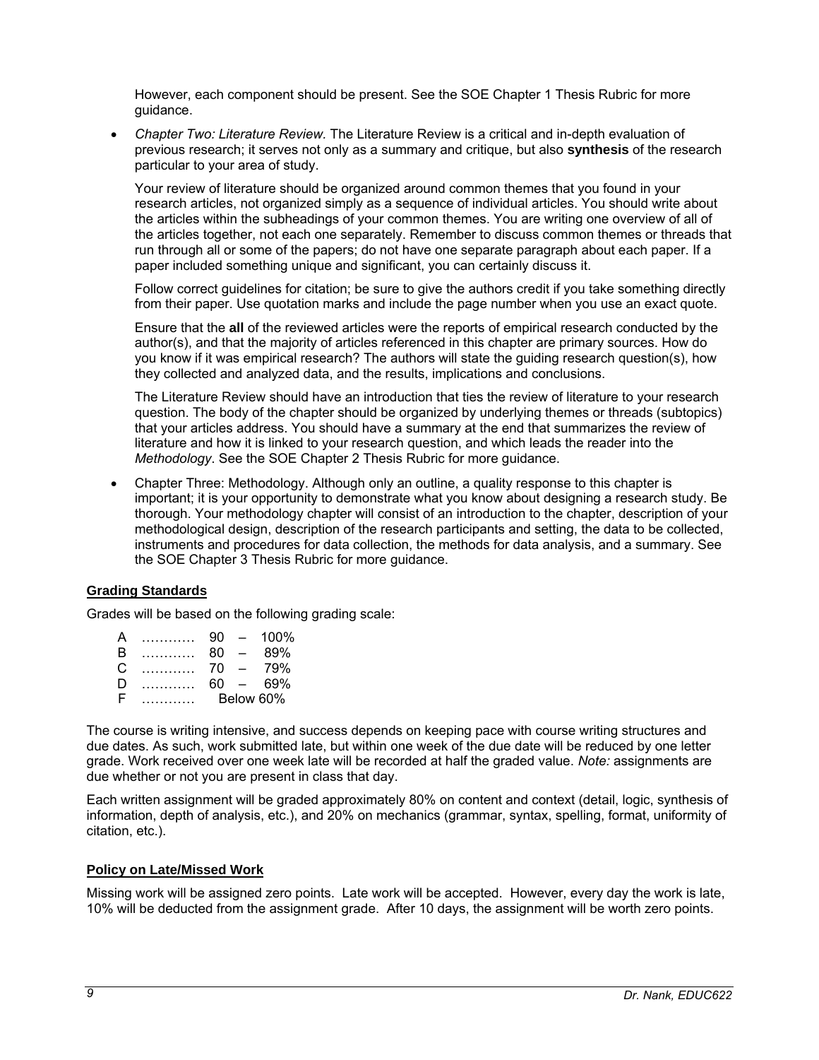However, each component should be present. See the SOE Chapter 1 Thesis Rubric for more guidance.

 *Chapter Two: Literature Review.* The Literature Review is a critical and in-depth evaluation of previous research; it serves not only as a summary and critique, but also **synthesis** of the research particular to your area of study.

Your review of literature should be organized around common themes that you found in your research articles, not organized simply as a sequence of individual articles. You should write about the articles within the subheadings of your common themes. You are writing one overview of all of the articles together, not each one separately. Remember to discuss common themes or threads that run through all or some of the papers; do not have one separate paragraph about each paper. If a paper included something unique and significant, you can certainly discuss it.

Follow correct guidelines for citation; be sure to give the authors credit if you take something directly from their paper. Use quotation marks and include the page number when you use an exact quote.

Ensure that the **all** of the reviewed articles were the reports of empirical research conducted by the author(s), and that the majority of articles referenced in this chapter are primary sources. How do you know if it was empirical research? The authors will state the guiding research question(s), how they collected and analyzed data, and the results, implications and conclusions.

The Literature Review should have an introduction that ties the review of literature to your research question. The body of the chapter should be organized by underlying themes or threads (subtopics) that your articles address. You should have a summary at the end that summarizes the review of literature and how it is linked to your research question, and which leads the reader into the *Methodology*. See the SOE Chapter 2 Thesis Rubric for more guidance.

 Chapter Three: Methodology. Although only an outline, a quality response to this chapter is important; it is your opportunity to demonstrate what you know about designing a research study. Be thorough. Your methodology chapter will consist of an introduction to the chapter, description of your methodological design, description of the research participants and setting, the data to be collected, instruments and procedures for data collection, the methods for data analysis, and a summary. See the SOE Chapter 3 Thesis Rubric for more guidance.

## **Grading Standards**

Grades will be based on the following grading scale:

| A | .          | 90 | $\overline{\phantom{0}}$ | $100\%$   |
|---|------------|----|--------------------------|-----------|
| В | .          | 80 | $\overline{\phantom{0}}$ | 89%       |
| C | .          | 70 | $\overline{\phantom{a}}$ | 79%       |
| D | . <b>.</b> | 60 | $\sim$                   | .69%      |
| F |            |    |                          | Below 60% |

The course is writing intensive, and success depends on keeping pace with course writing structures and due dates. As such, work submitted late, but within one week of the due date will be reduced by one letter grade. Work received over one week late will be recorded at half the graded value. *Note:* assignments are due whether or not you are present in class that day.

Each written assignment will be graded approximately 80% on content and context (detail, logic, synthesis of information, depth of analysis, etc.), and 20% on mechanics (grammar, syntax, spelling, format, uniformity of citation, etc.).

### **Policy on Late/Missed Work**

Missing work will be assigned zero points. Late work will be accepted. However, every day the work is late, 10% will be deducted from the assignment grade. After 10 days, the assignment will be worth zero points.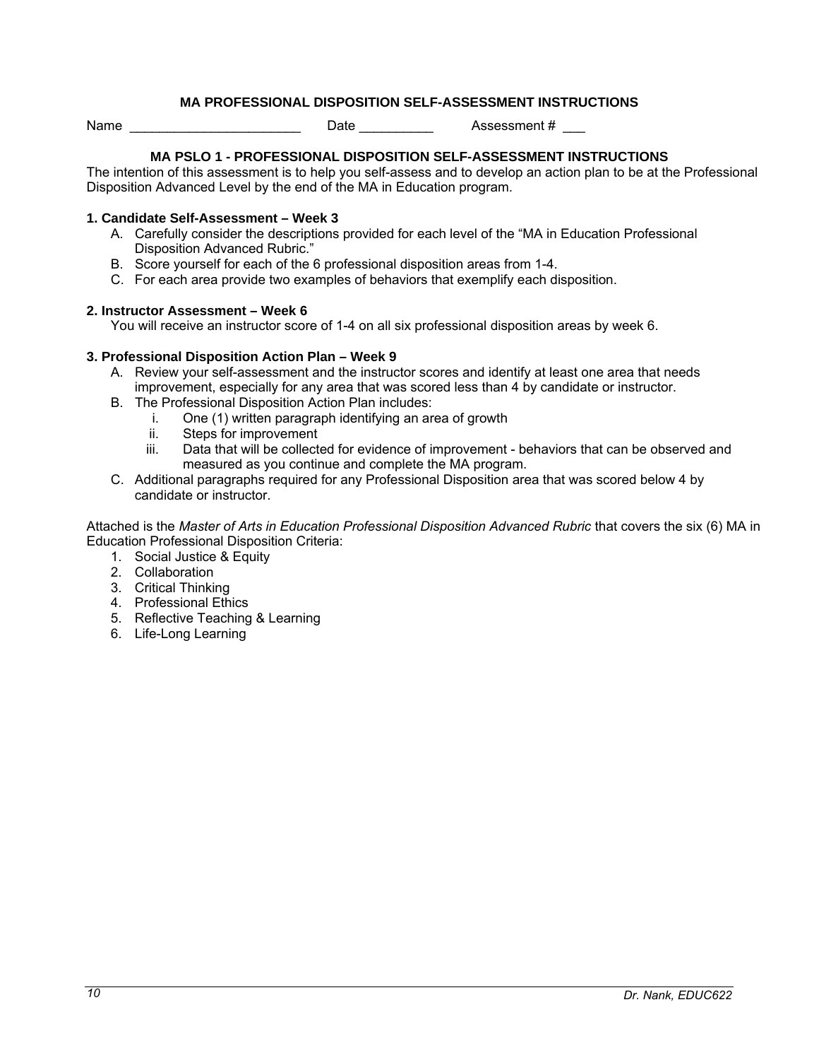## **MA PROFESSIONAL DISPOSITION SELF-ASSESSMENT INSTRUCTIONS**

Name **Name Name Name Name Name Name Name Name Name Name Name Name N** 

### **MA PSLO 1 - PROFESSIONAL DISPOSITION SELF-ASSESSMENT INSTRUCTIONS**

The intention of this assessment is to help you self-assess and to develop an action plan to be at the Professional Disposition Advanced Level by the end of the MA in Education program.

#### **1. Candidate Self-Assessment – Week 3**

- A. Carefully consider the descriptions provided for each level of the "MA in Education Professional Disposition Advanced Rubric."
- B. Score yourself for each of the 6 professional disposition areas from 1-4.
- C. For each area provide two examples of behaviors that exemplify each disposition.

#### **2. Instructor Assessment – Week 6**

You will receive an instructor score of 1-4 on all six professional disposition areas by week 6.

### **3. Professional Disposition Action Plan – Week 9**

- A. Review your self-assessment and the instructor scores and identify at least one area that needs improvement, especially for any area that was scored less than 4 by candidate or instructor.
- B. The Professional Disposition Action Plan includes:
	- i. One (1) written paragraph identifying an area of growth
	- ii. Steps for improvement
	- iii. Data that will be collected for evidence of improvement behaviors that can be observed and measured as you continue and complete the MA program.
- C. Additional paragraphs required for any Professional Disposition area that was scored below 4 by candidate or instructor.

Attached is the *Master of Arts in Education Professional Disposition Advanced Rubric* that covers the six (6) MA in Education Professional Disposition Criteria:

- 1. Social Justice & Equity
- 2. Collaboration
- 3. Critical Thinking
- 4. Professional Ethics
- 5. Reflective Teaching & Learning
- 6. Life-Long Learning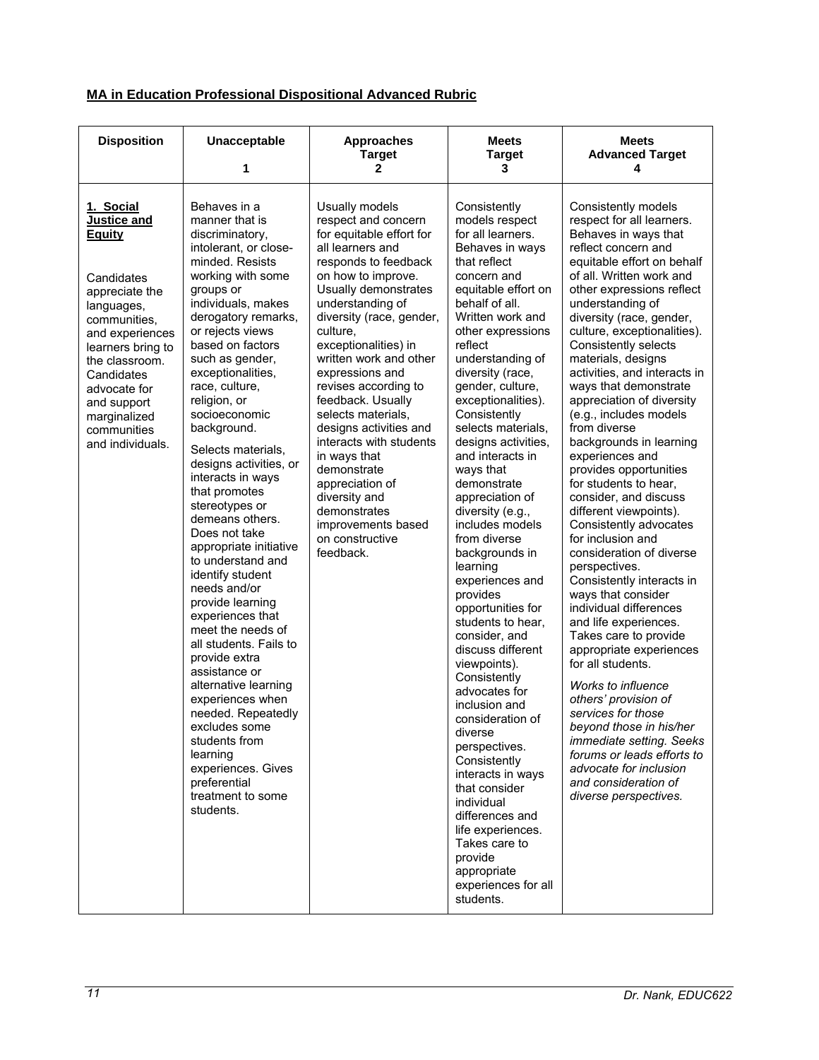|  | <b>MA in Education Professional Dispositional Advanced Rubric</b> |  |  |
|--|-------------------------------------------------------------------|--|--|
|  |                                                                   |  |  |

| <b>Disposition</b>                                                                                                                                                                                                                                                       | <b>Unacceptable</b><br>1                                                                                                                                                                                                                                                                                                                                                                                                                                                                                                                                                                                                                                                                                                                                                                                                                                                       | <b>Approaches</b><br><b>Target</b><br>2                                                                                                                                                                                                                                                                                                                                                                                                                                                                                                                       | <b>Meets</b><br><b>Target</b><br>3                                                                                                                                                                                                                                                                                                                                                                                                                                                                                                                                                                                                                                                                                                                                                                                                                                                                                                    | <b>Meets</b><br><b>Advanced Target</b><br>4                                                                                                                                                                                                                                                                                                                                                                                                                                                                                                                                                                                                                                                                                                                                                                                                                                                                                                                                                                                                                                                                            |
|--------------------------------------------------------------------------------------------------------------------------------------------------------------------------------------------------------------------------------------------------------------------------|--------------------------------------------------------------------------------------------------------------------------------------------------------------------------------------------------------------------------------------------------------------------------------------------------------------------------------------------------------------------------------------------------------------------------------------------------------------------------------------------------------------------------------------------------------------------------------------------------------------------------------------------------------------------------------------------------------------------------------------------------------------------------------------------------------------------------------------------------------------------------------|---------------------------------------------------------------------------------------------------------------------------------------------------------------------------------------------------------------------------------------------------------------------------------------------------------------------------------------------------------------------------------------------------------------------------------------------------------------------------------------------------------------------------------------------------------------|---------------------------------------------------------------------------------------------------------------------------------------------------------------------------------------------------------------------------------------------------------------------------------------------------------------------------------------------------------------------------------------------------------------------------------------------------------------------------------------------------------------------------------------------------------------------------------------------------------------------------------------------------------------------------------------------------------------------------------------------------------------------------------------------------------------------------------------------------------------------------------------------------------------------------------------|------------------------------------------------------------------------------------------------------------------------------------------------------------------------------------------------------------------------------------------------------------------------------------------------------------------------------------------------------------------------------------------------------------------------------------------------------------------------------------------------------------------------------------------------------------------------------------------------------------------------------------------------------------------------------------------------------------------------------------------------------------------------------------------------------------------------------------------------------------------------------------------------------------------------------------------------------------------------------------------------------------------------------------------------------------------------------------------------------------------------|
| 1. Social<br><b>Justice and</b><br><b>Equity</b><br>Candidates<br>appreciate the<br>languages,<br>communities,<br>and experiences<br>learners bring to<br>the classroom.<br>Candidates<br>advocate for<br>and support<br>marginalized<br>communities<br>and individuals. | Behaves in a<br>manner that is<br>discriminatory,<br>intolerant, or close-<br>minded, Resists<br>working with some<br>groups or<br>individuals, makes<br>derogatory remarks,<br>or rejects views<br>based on factors<br>such as gender,<br>exceptionalities,<br>race, culture,<br>religion, or<br>socioeconomic<br>background.<br>Selects materials,<br>designs activities, or<br>interacts in ways<br>that promotes<br>stereotypes or<br>demeans others.<br>Does not take<br>appropriate initiative<br>to understand and<br>identify student<br>needs and/or<br>provide learning<br>experiences that<br>meet the needs of<br>all students. Fails to<br>provide extra<br>assistance or<br>alternative learning<br>experiences when<br>needed. Repeatedly<br>excludes some<br>students from<br>learning<br>experiences. Gives<br>preferential<br>treatment to some<br>students. | Usually models<br>respect and concern<br>for equitable effort for<br>all learners and<br>responds to feedback<br>on how to improve.<br>Usually demonstrates<br>understanding of<br>diversity (race, gender,<br>culture,<br>exceptionalities) in<br>written work and other<br>expressions and<br>revises according to<br>feedback. Usually<br>selects materials,<br>designs activities and<br>interacts with students<br>in ways that<br>demonstrate<br>appreciation of<br>diversity and<br>demonstrates<br>improvements based<br>on constructive<br>feedback. | Consistently<br>models respect<br>for all learners.<br>Behaves in ways<br>that reflect<br>concern and<br>equitable effort on<br>behalf of all.<br>Written work and<br>other expressions<br>reflect<br>understanding of<br>diversity (race,<br>gender, culture,<br>exceptionalities).<br>Consistently<br>selects materials,<br>designs activities,<br>and interacts in<br>ways that<br>demonstrate<br>appreciation of<br>diversity (e.g.,<br>includes models<br>from diverse<br>backgrounds in<br>learning<br>experiences and<br>provides<br>opportunities for<br>students to hear,<br>consider, and<br>discuss different<br>viewpoints).<br>Consistently<br>advocates for<br>inclusion and<br>consideration of<br>diverse<br>perspectives.<br>Consistently<br>interacts in ways<br>that consider<br>individual<br>differences and<br>life experiences.<br>Takes care to<br>provide<br>appropriate<br>experiences for all<br>students. | Consistently models<br>respect for all learners.<br>Behaves in ways that<br>reflect concern and<br>equitable effort on behalf<br>of all. Written work and<br>other expressions reflect<br>understanding of<br>diversity (race, gender,<br>culture, exceptionalities).<br>Consistently selects<br>materials, designs<br>activities, and interacts in<br>ways that demonstrate<br>appreciation of diversity<br>(e.g., includes models<br>from diverse<br>backgrounds in learning<br>experiences and<br>provides opportunities<br>for students to hear.<br>consider, and discuss<br>different viewpoints).<br>Consistently advocates<br>for inclusion and<br>consideration of diverse<br>perspectives.<br>Consistently interacts in<br>ways that consider<br>individual differences<br>and life experiences.<br>Takes care to provide<br>appropriate experiences<br>for all students.<br>Works to influence<br>others' provision of<br>services for those<br>beyond those in his/her<br>immediate setting. Seeks<br>forums or leads efforts to<br>advocate for inclusion<br>and consideration of<br>diverse perspectives. |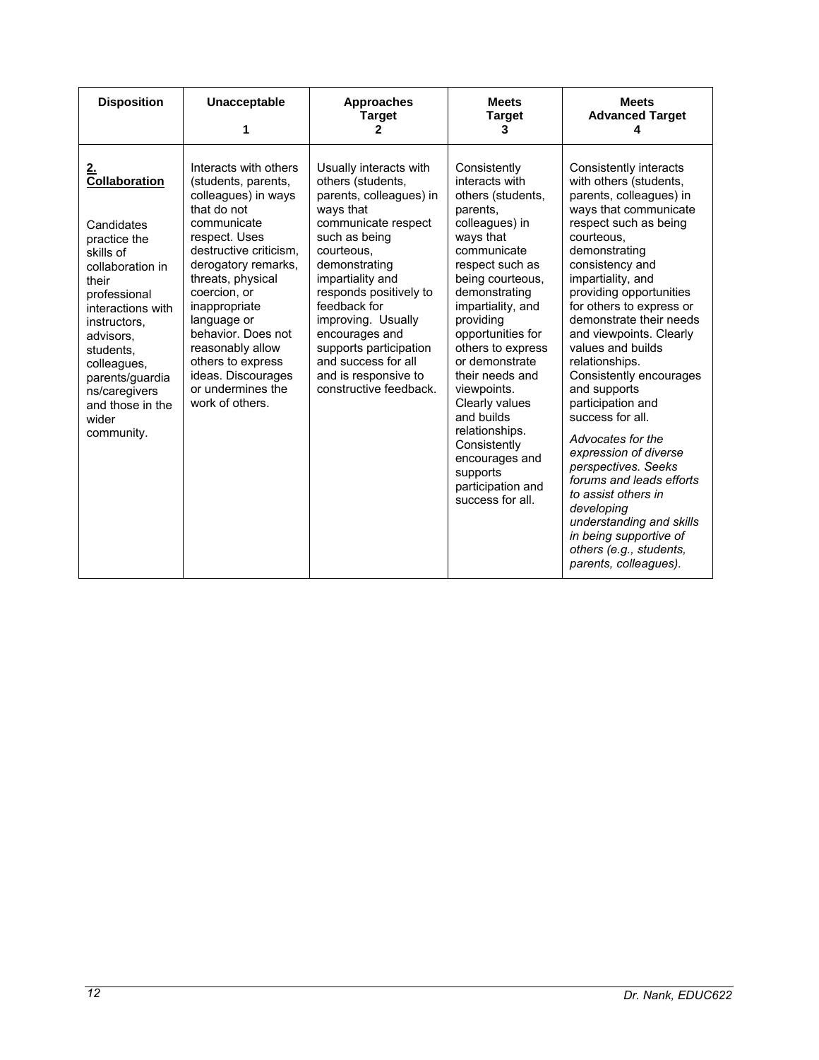| <b>Disposition</b>                                                                                                                                                                                                                                                              | Unacceptable<br>1                                                                                                                                                                                                                                                                                                                                                     | <b>Approaches</b><br><b>Target</b><br>2                                                                                                                                                                                                                                                                                                                             | <b>Meets</b><br><b>Target</b><br>3                                                                                                                                                                                                                                                                                                                                                                                                             | <b>Meets</b><br><b>Advanced Target</b><br>4                                                                                                                                                                                                                                                                                                                                                                                                                                                                                                                                                                                                                                                  |
|---------------------------------------------------------------------------------------------------------------------------------------------------------------------------------------------------------------------------------------------------------------------------------|-----------------------------------------------------------------------------------------------------------------------------------------------------------------------------------------------------------------------------------------------------------------------------------------------------------------------------------------------------------------------|---------------------------------------------------------------------------------------------------------------------------------------------------------------------------------------------------------------------------------------------------------------------------------------------------------------------------------------------------------------------|------------------------------------------------------------------------------------------------------------------------------------------------------------------------------------------------------------------------------------------------------------------------------------------------------------------------------------------------------------------------------------------------------------------------------------------------|----------------------------------------------------------------------------------------------------------------------------------------------------------------------------------------------------------------------------------------------------------------------------------------------------------------------------------------------------------------------------------------------------------------------------------------------------------------------------------------------------------------------------------------------------------------------------------------------------------------------------------------------------------------------------------------------|
| <u>2.</u><br>Collaboration<br>Candidates<br>practice the<br>skills of<br>collaboration in<br>their<br>professional<br>interactions with<br>instructors.<br>advisors.<br>students.<br>colleagues,<br>parents/guardia<br>ns/caregivers<br>and those in the<br>wider<br>community. | Interacts with others<br>(students, parents,<br>colleagues) in ways<br>that do not<br>communicate<br>respect. Uses<br>destructive criticism.<br>derogatory remarks,<br>threats, physical<br>coercion, or<br>inappropriate<br>language or<br>behavior. Does not<br>reasonably allow<br>others to express<br>ideas. Discourages<br>or undermines the<br>work of others. | Usually interacts with<br>others (students,<br>parents, colleagues) in<br>ways that<br>communicate respect<br>such as being<br>courteous.<br>demonstrating<br>impartiality and<br>responds positively to<br>feedback for<br>improving. Usually<br>encourages and<br>supports participation<br>and success for all<br>and is responsive to<br>constructive feedback. | Consistently<br>interacts with<br>others (students,<br>parents.<br>colleagues) in<br>ways that<br>communicate<br>respect such as<br>being courteous,<br>demonstrating<br>impartiality, and<br>providing<br>opportunities for<br>others to express<br>or demonstrate<br>their needs and<br>viewpoints.<br>Clearly values<br>and builds<br>relationships.<br>Consistently<br>encourages and<br>supports<br>participation and<br>success for all. | Consistently interacts<br>with others (students,<br>parents, colleagues) in<br>ways that communicate<br>respect such as being<br>courteous.<br>demonstrating<br>consistency and<br>impartiality, and<br>providing opportunities<br>for others to express or<br>demonstrate their needs<br>and viewpoints. Clearly<br>values and builds<br>relationships.<br>Consistently encourages<br>and supports<br>participation and<br>success for all.<br>Advocates for the<br>expression of diverse<br>perspectives. Seeks<br>forums and leads efforts<br>to assist others in<br>developing<br>understanding and skills<br>in being supportive of<br>others (e.g., students,<br>parents, colleagues). |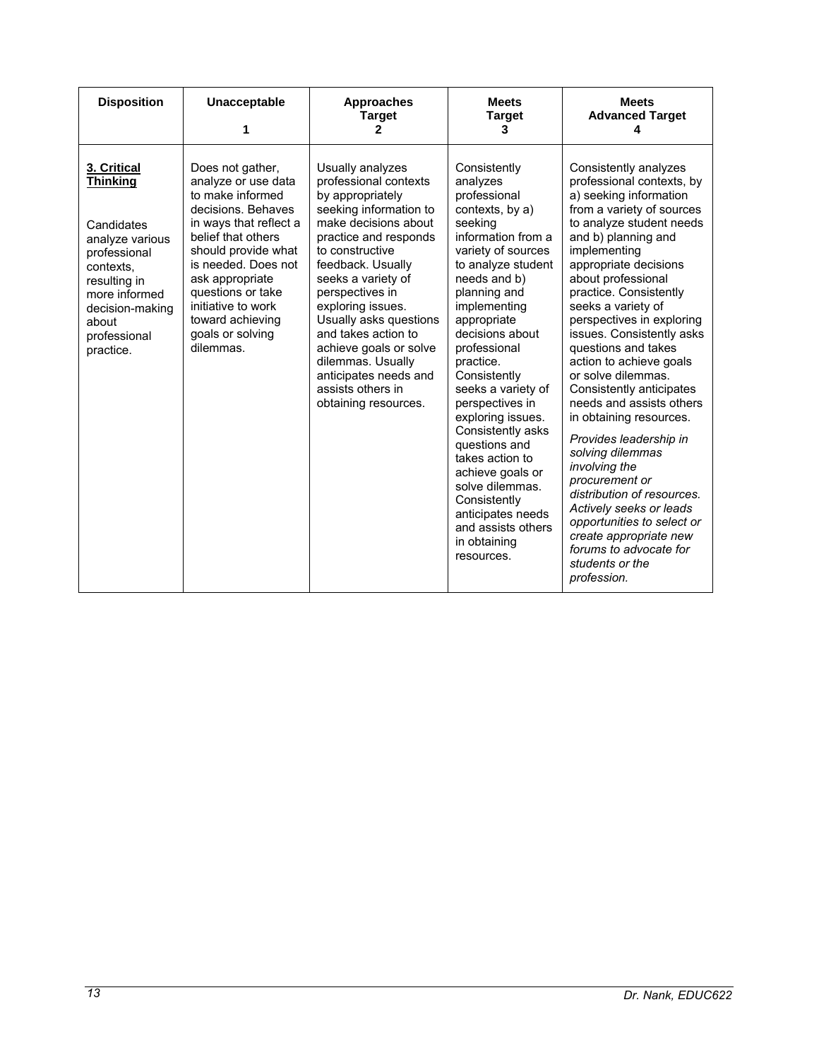| <b>Disposition</b>                                                                                                                                                                     | <b>Unacceptable</b><br>1                                                                                                                                                                                                                                                                           | <b>Approaches</b><br><b>Target</b><br>2                                                                                                                                                                                                                                                                                                                                                                              | <b>Meets</b><br><b>Target</b><br>3                                                                                                                                                                                                                                                                                                                                                                                                                                                                                             | <b>Meets</b><br><b>Advanced Target</b>                                                                                                                                                                                                                                                                                                                                                                                                                                                                                                                                                                                                                                                                                                                         |
|----------------------------------------------------------------------------------------------------------------------------------------------------------------------------------------|----------------------------------------------------------------------------------------------------------------------------------------------------------------------------------------------------------------------------------------------------------------------------------------------------|----------------------------------------------------------------------------------------------------------------------------------------------------------------------------------------------------------------------------------------------------------------------------------------------------------------------------------------------------------------------------------------------------------------------|--------------------------------------------------------------------------------------------------------------------------------------------------------------------------------------------------------------------------------------------------------------------------------------------------------------------------------------------------------------------------------------------------------------------------------------------------------------------------------------------------------------------------------|----------------------------------------------------------------------------------------------------------------------------------------------------------------------------------------------------------------------------------------------------------------------------------------------------------------------------------------------------------------------------------------------------------------------------------------------------------------------------------------------------------------------------------------------------------------------------------------------------------------------------------------------------------------------------------------------------------------------------------------------------------------|
| 3. Critical<br><b>Thinkina</b><br>Candidates<br>analyze various<br>professional<br>contexts.<br>resulting in<br>more informed<br>decision-making<br>about<br>professional<br>practice. | Does not gather,<br>analyze or use data<br>to make informed<br>decisions. Behaves<br>in ways that reflect a<br>belief that others<br>should provide what<br>is needed. Does not<br>ask appropriate<br>questions or take<br>initiative to work<br>toward achieving<br>goals or solving<br>dilemmas. | Usually analyzes<br>professional contexts<br>by appropriately<br>seeking information to<br>make decisions about<br>practice and responds<br>to constructive<br>feedback. Usually<br>seeks a variety of<br>perspectives in<br>exploring issues.<br>Usually asks questions<br>and takes action to<br>achieve goals or solve<br>dilemmas. Usually<br>anticipates needs and<br>assists others in<br>obtaining resources. | Consistently<br>analyzes<br>professional<br>contexts, by a)<br>seeking<br>information from a<br>variety of sources<br>to analyze student<br>needs and b)<br>planning and<br>implementing<br>appropriate<br>decisions about<br>professional<br>practice.<br>Consistently<br>seeks a variety of<br>perspectives in<br>exploring issues.<br>Consistently asks<br>questions and<br>takes action to<br>achieve goals or<br>solve dilemmas.<br>Consistently<br>anticipates needs<br>and assists others<br>in obtaining<br>resources. | Consistently analyzes<br>professional contexts, by<br>a) seeking information<br>from a variety of sources<br>to analyze student needs<br>and b) planning and<br>implementing<br>appropriate decisions<br>about professional<br>practice. Consistently<br>seeks a variety of<br>perspectives in exploring<br>issues. Consistently asks<br>questions and takes<br>action to achieve goals<br>or solve dilemmas.<br>Consistently anticipates<br>needs and assists others<br>in obtaining resources.<br>Provides leadership in<br>solving dilemmas<br>involving the<br>procurement or<br>distribution of resources.<br>Actively seeks or leads<br>opportunities to select or<br>create appropriate new<br>forums to advocate for<br>students or the<br>profession. |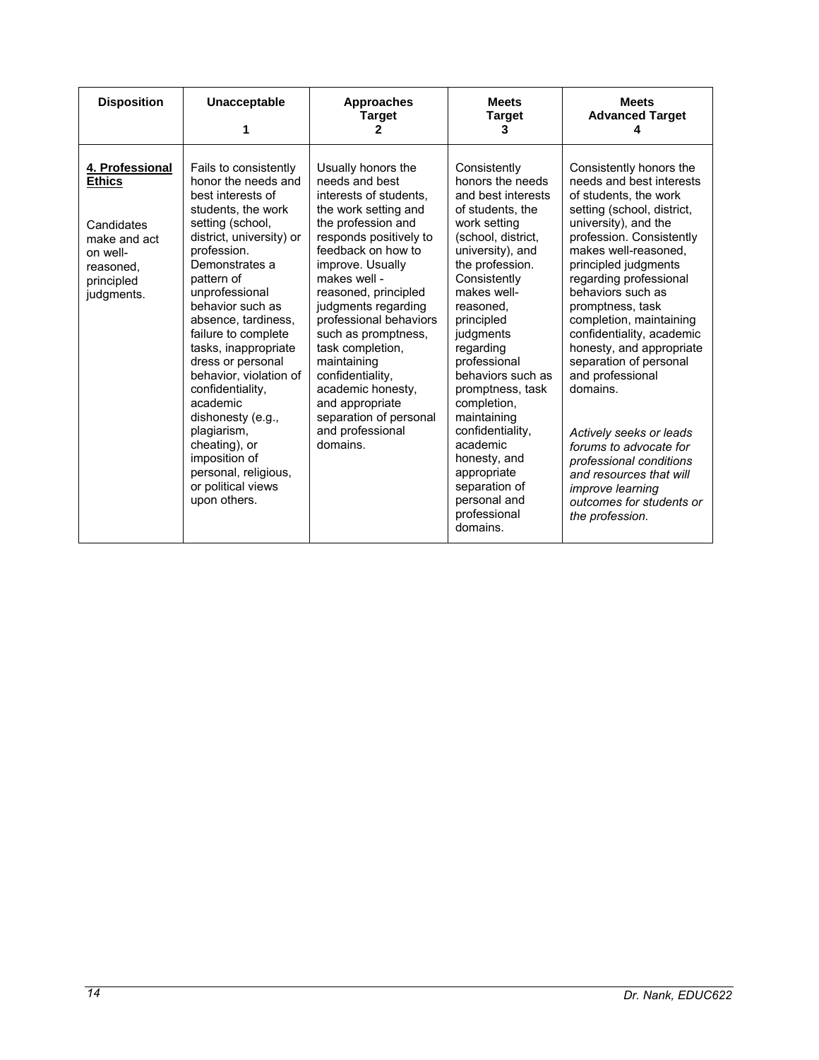| <b>Disposition</b>                                                                                                  | <b>Unacceptable</b>                                                                                                                                                                                                                                                                                                                                                                                                                                                                                                   | <b>Approaches</b><br><b>Target</b><br>2                                                                                                                                                                                                                                                                                                                                                                                                                   | <b>Meets</b><br><b>Target</b><br>3                                                                                                                                                                                                                                                                                                                                                                                                                             | <b>Meets</b><br><b>Advanced Target</b>                                                                                                                                                                                                                                                                                                                                                                                                                                                                                                                                                                               |
|---------------------------------------------------------------------------------------------------------------------|-----------------------------------------------------------------------------------------------------------------------------------------------------------------------------------------------------------------------------------------------------------------------------------------------------------------------------------------------------------------------------------------------------------------------------------------------------------------------------------------------------------------------|-----------------------------------------------------------------------------------------------------------------------------------------------------------------------------------------------------------------------------------------------------------------------------------------------------------------------------------------------------------------------------------------------------------------------------------------------------------|----------------------------------------------------------------------------------------------------------------------------------------------------------------------------------------------------------------------------------------------------------------------------------------------------------------------------------------------------------------------------------------------------------------------------------------------------------------|----------------------------------------------------------------------------------------------------------------------------------------------------------------------------------------------------------------------------------------------------------------------------------------------------------------------------------------------------------------------------------------------------------------------------------------------------------------------------------------------------------------------------------------------------------------------------------------------------------------------|
| 4. Professional<br><b>Ethics</b><br>Candidates<br>make and act<br>on well-<br>reasoned,<br>principled<br>judgments. | Fails to consistently<br>honor the needs and<br>best interests of<br>students, the work<br>setting (school,<br>district, university) or<br>profession.<br>Demonstrates a<br>pattern of<br>unprofessional<br>behavior such as<br>absence, tardiness,<br>failure to complete<br>tasks, inappropriate<br>dress or personal<br>behavior, violation of<br>confidentiality.<br>academic<br>dishonesty (e.g.,<br>plagiarism,<br>cheating), or<br>imposition of<br>personal, religious,<br>or political views<br>upon others. | Usually honors the<br>needs and best<br>interests of students,<br>the work setting and<br>the profession and<br>responds positively to<br>feedback on how to<br>improve. Usually<br>makes well -<br>reasoned, principled<br>judgments regarding<br>professional behaviors<br>such as promptness,<br>task completion,<br>maintaining<br>confidentiality,<br>academic honesty.<br>and appropriate<br>separation of personal<br>and professional<br>domains. | Consistently<br>honors the needs<br>and best interests<br>of students, the<br>work setting<br>(school, district,<br>university), and<br>the profession.<br>Consistently<br>makes well-<br>reasoned,<br>principled<br>judgments<br>regarding<br>professional<br>behaviors such as<br>promptness, task<br>completion,<br>maintaining<br>confidentiality.<br>academic<br>honesty, and<br>appropriate<br>separation of<br>personal and<br>professional<br>domains. | Consistently honors the<br>needs and best interests<br>of students, the work<br>setting (school, district,<br>university), and the<br>profession. Consistently<br>makes well-reasoned.<br>principled judgments<br>regarding professional<br>behaviors such as<br>promptness, task<br>completion, maintaining<br>confidentiality, academic<br>honesty, and appropriate<br>separation of personal<br>and professional<br>domains.<br>Actively seeks or leads<br>forums to advocate for<br>professional conditions<br>and resources that will<br><i>improve learning</i><br>outcomes for students or<br>the profession. |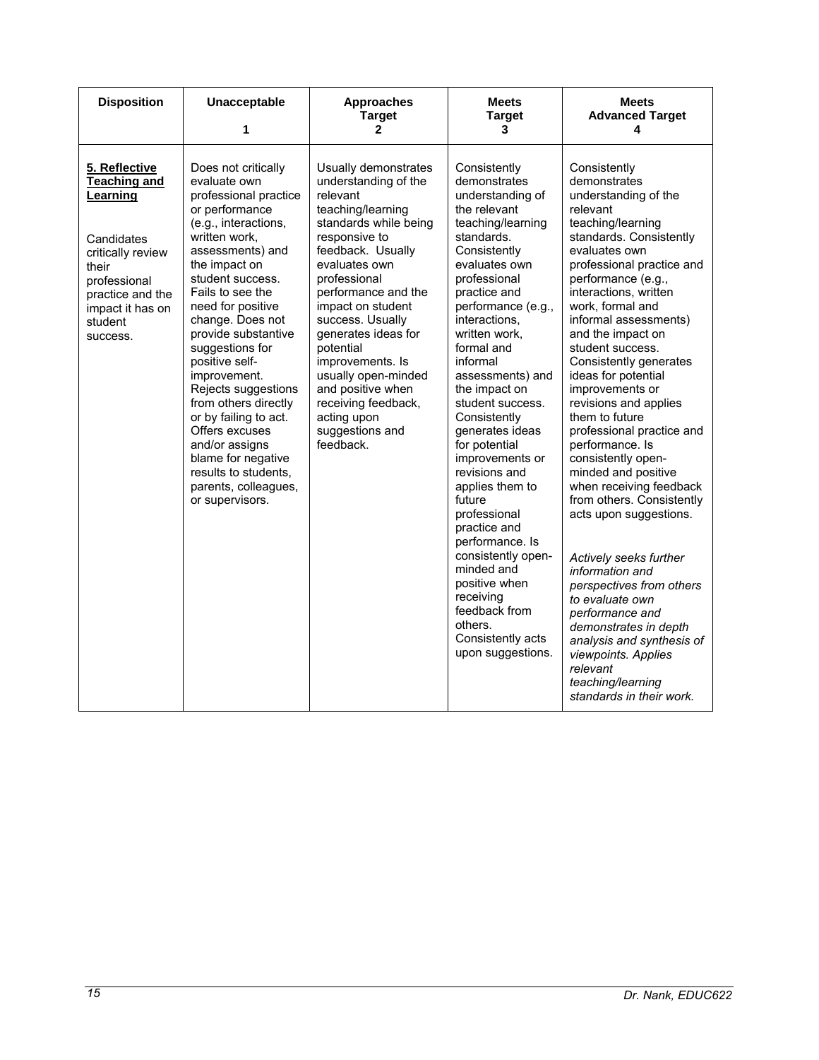| <b>Disposition</b>                                                                                                                                                          | Unacceptable<br>1                                                                                                                                                                                                                                                                                                                                                                                                                                                                                                              | <b>Approaches</b><br><b>Target</b><br>$\mathbf{2}$                                                                                                                                                                                                                                                                                                                                                                      | <b>Meets</b><br><b>Target</b><br>3                                                                                                                                                                                                                                                                                                                                                                                                                                                                            | <b>Meets</b><br><b>Advanced Target</b><br>4                                                                                                                                                                                                                                                                                                                                                                                                                                                                                                                                                       |
|-----------------------------------------------------------------------------------------------------------------------------------------------------------------------------|--------------------------------------------------------------------------------------------------------------------------------------------------------------------------------------------------------------------------------------------------------------------------------------------------------------------------------------------------------------------------------------------------------------------------------------------------------------------------------------------------------------------------------|-------------------------------------------------------------------------------------------------------------------------------------------------------------------------------------------------------------------------------------------------------------------------------------------------------------------------------------------------------------------------------------------------------------------------|---------------------------------------------------------------------------------------------------------------------------------------------------------------------------------------------------------------------------------------------------------------------------------------------------------------------------------------------------------------------------------------------------------------------------------------------------------------------------------------------------------------|---------------------------------------------------------------------------------------------------------------------------------------------------------------------------------------------------------------------------------------------------------------------------------------------------------------------------------------------------------------------------------------------------------------------------------------------------------------------------------------------------------------------------------------------------------------------------------------------------|
| 5. Reflective<br><b>Teaching and</b><br>Learning<br>Candidates<br>critically review<br>their<br>professional<br>practice and the<br>impact it has on<br>student<br>success. | Does not critically<br>evaluate own<br>professional practice<br>or performance<br>(e.g., interactions,<br>written work,<br>assessments) and<br>the impact on<br>student success.<br>Fails to see the<br>need for positive<br>change. Does not<br>provide substantive<br>suggestions for<br>positive self-<br>improvement.<br>Rejects suggestions<br>from others directly<br>or by failing to act.<br>Offers excuses<br>and/or assigns<br>blame for negative<br>results to students,<br>parents, colleagues,<br>or supervisors. | Usually demonstrates<br>understanding of the<br>relevant<br>teaching/learning<br>standards while being<br>responsive to<br>feedback. Usually<br>evaluates own<br>professional<br>performance and the<br>impact on student<br>success. Usually<br>generates ideas for<br>potential<br>improvements. Is<br>usually open-minded<br>and positive when<br>receiving feedback,<br>acting upon<br>suggestions and<br>feedback. | Consistently<br>demonstrates<br>understanding of<br>the relevant<br>teaching/learning<br>standards.<br>Consistently<br>evaluates own<br>professional<br>practice and<br>performance (e.g.,<br>interactions,<br>written work,<br>formal and<br>informal<br>assessments) and<br>the impact on<br>student success.<br>Consistently<br>generates ideas<br>for potential<br>improvements or<br>revisions and<br>applies them to<br>future<br>professional<br>practice and<br>performance. Is<br>consistently open- | Consistently<br>demonstrates<br>understanding of the<br>relevant<br>teaching/learning<br>standards. Consistently<br>evaluates own<br>professional practice and<br>performance (e.g.,<br>interactions, written<br>work, formal and<br>informal assessments)<br>and the impact on<br>student success.<br>Consistently generates<br>ideas for potential<br>improvements or<br>revisions and applies<br>them to future<br>professional practice and<br>performance. Is<br>consistently open-<br>minded and positive<br>when receiving feedback<br>from others. Consistently<br>acts upon suggestions. |
|                                                                                                                                                                             |                                                                                                                                                                                                                                                                                                                                                                                                                                                                                                                                |                                                                                                                                                                                                                                                                                                                                                                                                                         | minded and<br>positive when<br>receiving<br>feedback from<br>others.<br>Consistently acts<br>upon suggestions.                                                                                                                                                                                                                                                                                                                                                                                                | Actively seeks further<br>information and<br>perspectives from others<br>to evaluate own<br>performance and<br>demonstrates in depth<br>analysis and synthesis of<br>viewpoints. Applies<br>relevant<br>teaching/learning<br>standards in their work.                                                                                                                                                                                                                                                                                                                                             |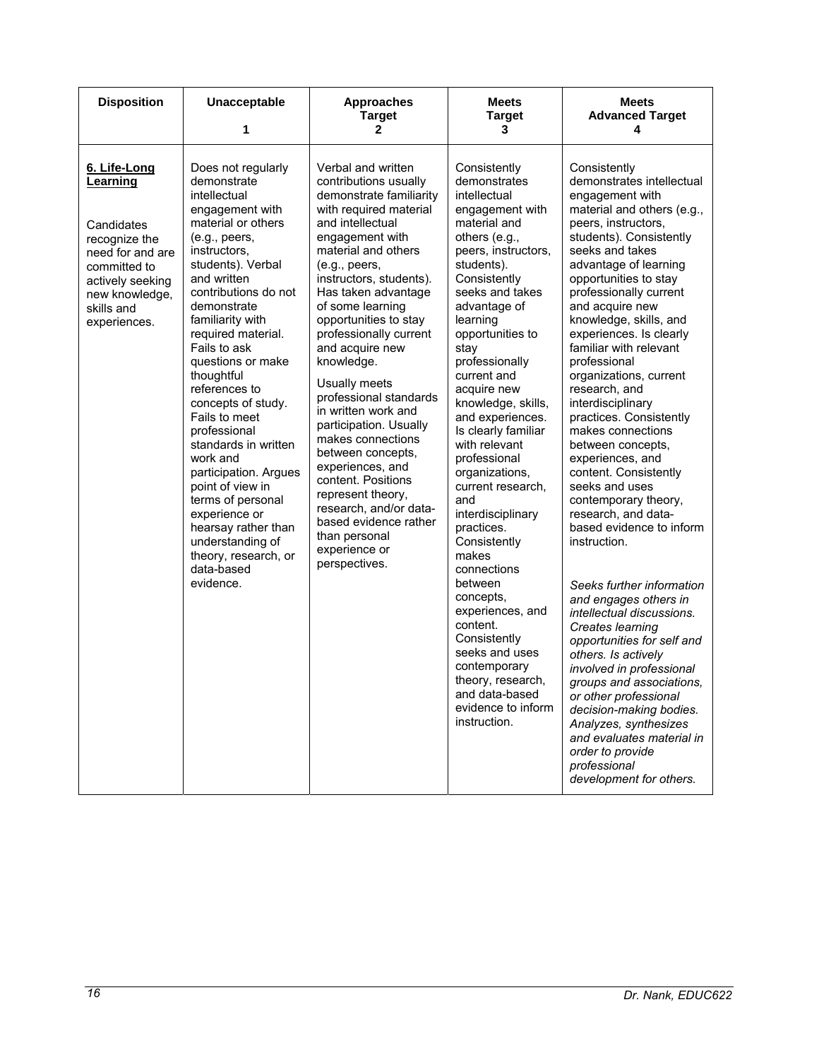| <b>Disposition</b>                                                                                                                                              | <b>Unacceptable</b><br>1                                                                                                                                                                                                                                                                                                                                                                                                                                                                                                                                                                         | <b>Approaches</b><br><b>Target</b><br>2                                                                                                                                                                                                                                                                                                                                                                                                                                                                                                                                                                                                              | <b>Meets</b><br><b>Target</b><br>3                                                                                                                                                                                                                                                                                                                                                                                                                                                                                                                                                                                                                                                                 | <b>Meets</b><br><b>Advanced Target</b><br>4                                                                                                                                                                                                                                                                                                                                                                                                                                                                                                                                                                                                                                                                                                                                                                                                                                                                                                                                                                                                               |
|-----------------------------------------------------------------------------------------------------------------------------------------------------------------|--------------------------------------------------------------------------------------------------------------------------------------------------------------------------------------------------------------------------------------------------------------------------------------------------------------------------------------------------------------------------------------------------------------------------------------------------------------------------------------------------------------------------------------------------------------------------------------------------|------------------------------------------------------------------------------------------------------------------------------------------------------------------------------------------------------------------------------------------------------------------------------------------------------------------------------------------------------------------------------------------------------------------------------------------------------------------------------------------------------------------------------------------------------------------------------------------------------------------------------------------------------|----------------------------------------------------------------------------------------------------------------------------------------------------------------------------------------------------------------------------------------------------------------------------------------------------------------------------------------------------------------------------------------------------------------------------------------------------------------------------------------------------------------------------------------------------------------------------------------------------------------------------------------------------------------------------------------------------|-----------------------------------------------------------------------------------------------------------------------------------------------------------------------------------------------------------------------------------------------------------------------------------------------------------------------------------------------------------------------------------------------------------------------------------------------------------------------------------------------------------------------------------------------------------------------------------------------------------------------------------------------------------------------------------------------------------------------------------------------------------------------------------------------------------------------------------------------------------------------------------------------------------------------------------------------------------------------------------------------------------------------------------------------------------|
| 6. Life-Long<br>Learning<br>Candidates<br>recognize the<br>need for and are<br>committed to<br>actively seeking<br>new knowledge,<br>skills and<br>experiences. | Does not regularly<br>demonstrate<br>intellectual<br>engagement with<br>material or others<br>(e.g., peers,<br>instructors,<br>students). Verbal<br>and written<br>contributions do not<br>demonstrate<br>familiarity with<br>required material.<br>Fails to ask<br>questions or make<br>thoughtful<br>references to<br>concepts of study.<br>Fails to meet<br>professional<br>standards in written<br>work and<br>participation. Argues<br>point of view in<br>terms of personal<br>experience or<br>hearsay rather than<br>understanding of<br>theory, research, or<br>data-based<br>evidence. | Verbal and written<br>contributions usually<br>demonstrate familiarity<br>with required material<br>and intellectual<br>engagement with<br>material and others<br>(e.g., peers,<br>instructors, students).<br>Has taken advantage<br>of some learning<br>opportunities to stay<br>professionally current<br>and acquire new<br>knowledge.<br>Usually meets<br>professional standards<br>in written work and<br>participation. Usually<br>makes connections<br>between concepts,<br>experiences, and<br>content. Positions<br>represent theory,<br>research, and/or data-<br>based evidence rather<br>than personal<br>experience or<br>perspectives. | Consistently<br>demonstrates<br>intellectual<br>engagement with<br>material and<br>others (e.g.,<br>peers, instructors,<br>students).<br>Consistently<br>seeks and takes<br>advantage of<br>learning<br>opportunities to<br>stay<br>professionally<br>current and<br>acquire new<br>knowledge, skills,<br>and experiences.<br>Is clearly familiar<br>with relevant<br>professional<br>organizations,<br>current research,<br>and<br>interdisciplinary<br>practices.<br>Consistently<br>makes<br>connections<br>between<br>concepts,<br>experiences, and<br>content.<br>Consistently<br>seeks and uses<br>contemporary<br>theory, research,<br>and data-based<br>evidence to inform<br>instruction. | Consistently<br>demonstrates intellectual<br>engagement with<br>material and others (e.g.,<br>peers, instructors,<br>students). Consistently<br>seeks and takes<br>advantage of learning<br>opportunities to stay<br>professionally current<br>and acquire new<br>knowledge, skills, and<br>experiences. Is clearly<br>familiar with relevant<br>professional<br>organizations, current<br>research, and<br>interdisciplinary<br>practices. Consistently<br>makes connections<br>between concepts,<br>experiences, and<br>content. Consistently<br>seeks and uses<br>contemporary theory,<br>research, and data-<br>based evidence to inform<br>instruction.<br>Seeks further information<br>and engages others in<br>intellectual discussions.<br>Creates learning<br>opportunities for self and<br>others. Is actively<br>involved in professional<br>groups and associations,<br>or other professional<br>decision-making bodies.<br>Analyzes, synthesizes<br>and evaluates material in<br>order to provide<br>professional<br>development for others. |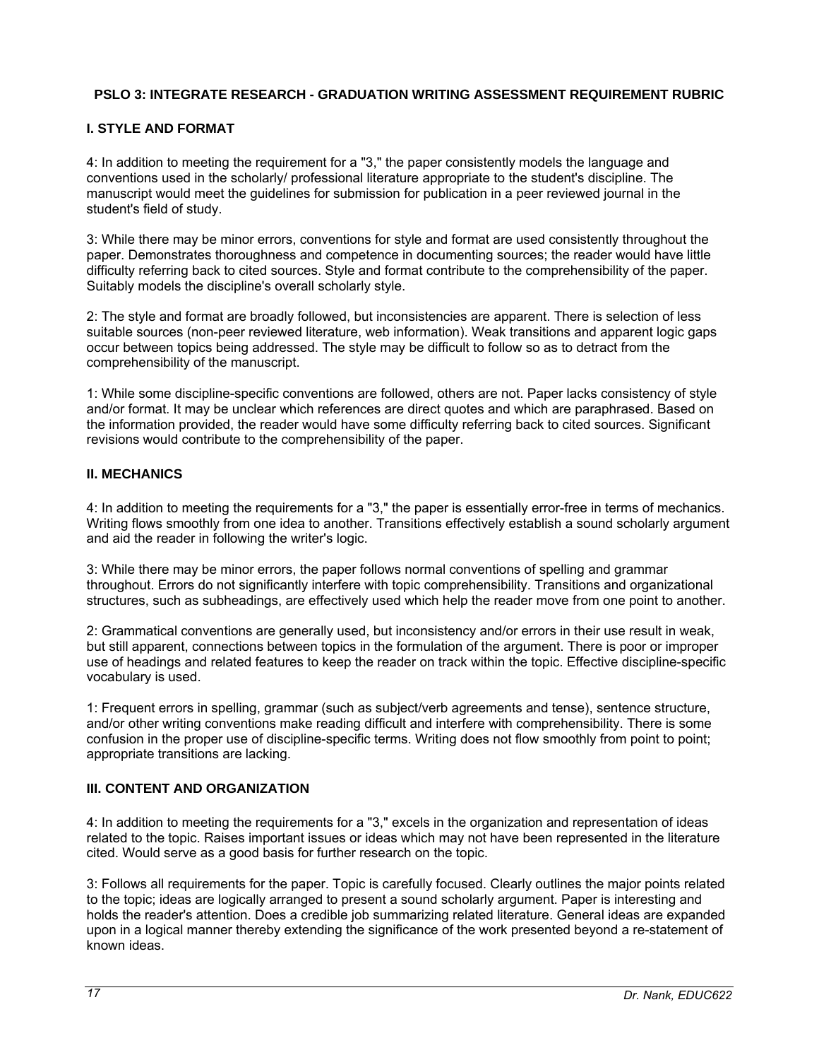## **PSLO 3: INTEGRATE RESEARCH - GRADUATION WRITING ASSESSMENT REQUIREMENT RUBRIC**

## **I. STYLE AND FORMAT**

4: In addition to meeting the requirement for a "3," the paper consistently models the language and conventions used in the scholarly/ professional literature appropriate to the student's discipline. The manuscript would meet the guidelines for submission for publication in a peer reviewed journal in the student's field of study.

3: While there may be minor errors, conventions for style and format are used consistently throughout the paper. Demonstrates thoroughness and competence in documenting sources; the reader would have little difficulty referring back to cited sources. Style and format contribute to the comprehensibility of the paper. Suitably models the discipline's overall scholarly style.

2: The style and format are broadly followed, but inconsistencies are apparent. There is selection of less suitable sources (non-peer reviewed literature, web information). Weak transitions and apparent logic gaps occur between topics being addressed. The style may be difficult to follow so as to detract from the comprehensibility of the manuscript.

1: While some discipline-specific conventions are followed, others are not. Paper lacks consistency of style and/or format. It may be unclear which references are direct quotes and which are paraphrased. Based on the information provided, the reader would have some difficulty referring back to cited sources. Significant revisions would contribute to the comprehensibility of the paper.

## **II. MECHANICS**

4: In addition to meeting the requirements for a "3," the paper is essentially error-free in terms of mechanics. Writing flows smoothly from one idea to another. Transitions effectively establish a sound scholarly argument and aid the reader in following the writer's logic.

3: While there may be minor errors, the paper follows normal conventions of spelling and grammar throughout. Errors do not significantly interfere with topic comprehensibility. Transitions and organizational structures, such as subheadings, are effectively used which help the reader move from one point to another.

2: Grammatical conventions are generally used, but inconsistency and/or errors in their use result in weak, but still apparent, connections between topics in the formulation of the argument. There is poor or improper use of headings and related features to keep the reader on track within the topic. Effective discipline-specific vocabulary is used.

1: Frequent errors in spelling, grammar (such as subject/verb agreements and tense), sentence structure, and/or other writing conventions make reading difficult and interfere with comprehensibility. There is some confusion in the proper use of discipline-specific terms. Writing does not flow smoothly from point to point; appropriate transitions are lacking.

## **III. CONTENT AND ORGANIZATION**

4: In addition to meeting the requirements for a "3," excels in the organization and representation of ideas related to the topic. Raises important issues or ideas which may not have been represented in the literature cited. Would serve as a good basis for further research on the topic.

3: Follows all requirements for the paper. Topic is carefully focused. Clearly outlines the major points related to the topic; ideas are logically arranged to present a sound scholarly argument. Paper is interesting and holds the reader's attention. Does a credible job summarizing related literature. General ideas are expanded upon in a logical manner thereby extending the significance of the work presented beyond a re-statement of known ideas.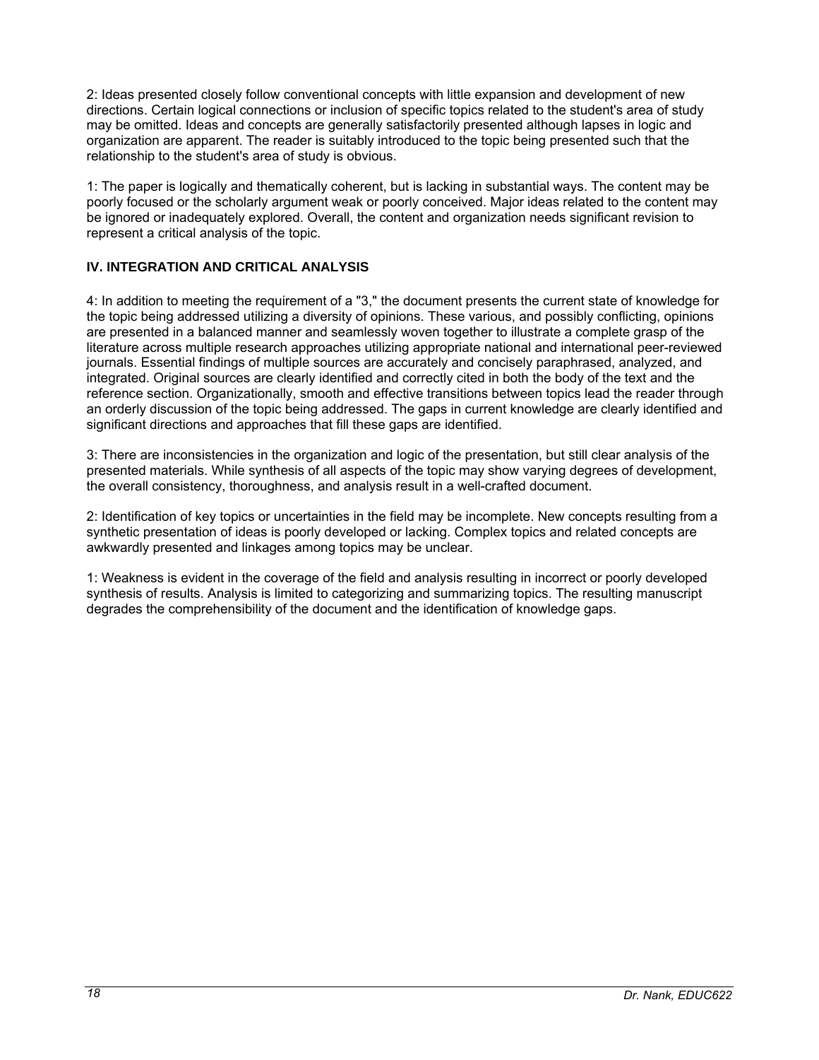2: Ideas presented closely follow conventional concepts with little expansion and development of new directions. Certain logical connections or inclusion of specific topics related to the student's area of study may be omitted. Ideas and concepts are generally satisfactorily presented although lapses in logic and organization are apparent. The reader is suitably introduced to the topic being presented such that the relationship to the student's area of study is obvious.

1: The paper is logically and thematically coherent, but is lacking in substantial ways. The content may be poorly focused or the scholarly argument weak or poorly conceived. Major ideas related to the content may be ignored or inadequately explored. Overall, the content and organization needs significant revision to represent a critical analysis of the topic.

## **IV. INTEGRATION AND CRITICAL ANALYSIS**

4: In addition to meeting the requirement of a "3," the document presents the current state of knowledge for the topic being addressed utilizing a diversity of opinions. These various, and possibly conflicting, opinions are presented in a balanced manner and seamlessly woven together to illustrate a complete grasp of the literature across multiple research approaches utilizing appropriate national and international peer-reviewed journals. Essential findings of multiple sources are accurately and concisely paraphrased, analyzed, and integrated. Original sources are clearly identified and correctly cited in both the body of the text and the reference section. Organizationally, smooth and effective transitions between topics lead the reader through an orderly discussion of the topic being addressed. The gaps in current knowledge are clearly identified and significant directions and approaches that fill these gaps are identified.

3: There are inconsistencies in the organization and logic of the presentation, but still clear analysis of the presented materials. While synthesis of all aspects of the topic may show varying degrees of development, the overall consistency, thoroughness, and analysis result in a well-crafted document.

2: Identification of key topics or uncertainties in the field may be incomplete. New concepts resulting from a synthetic presentation of ideas is poorly developed or lacking. Complex topics and related concepts are awkwardly presented and linkages among topics may be unclear.

1: Weakness is evident in the coverage of the field and analysis resulting in incorrect or poorly developed synthesis of results. Analysis is limited to categorizing and summarizing topics. The resulting manuscript degrades the comprehensibility of the document and the identification of knowledge gaps.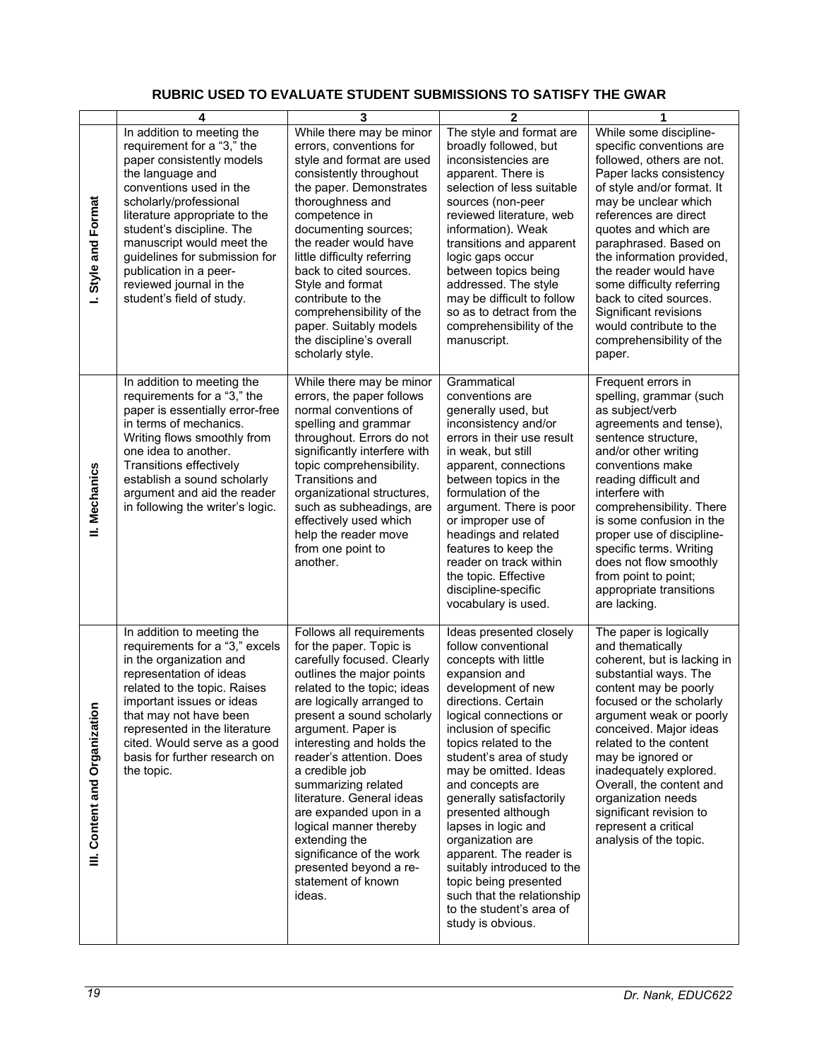## **RUBRIC USED TO EVALUATE STUDENT SUBMISSIONS TO SATISFY THE GWAR**

|                               | 4                                                                                                                                                                                                                                                                                                                                                                            | 3                                                                                                                                                                                                                                                                                                                                                                                                                                                                                                                       | $\overline{2}$                                                                                                                                                                                                                                                                                                                                                                                                                                                                                                                                         | 1                                                                                                                                                                                                                                                                                                                                                                                                                                                 |
|-------------------------------|------------------------------------------------------------------------------------------------------------------------------------------------------------------------------------------------------------------------------------------------------------------------------------------------------------------------------------------------------------------------------|-------------------------------------------------------------------------------------------------------------------------------------------------------------------------------------------------------------------------------------------------------------------------------------------------------------------------------------------------------------------------------------------------------------------------------------------------------------------------------------------------------------------------|--------------------------------------------------------------------------------------------------------------------------------------------------------------------------------------------------------------------------------------------------------------------------------------------------------------------------------------------------------------------------------------------------------------------------------------------------------------------------------------------------------------------------------------------------------|---------------------------------------------------------------------------------------------------------------------------------------------------------------------------------------------------------------------------------------------------------------------------------------------------------------------------------------------------------------------------------------------------------------------------------------------------|
| Style and Format<br>L.        | In addition to meeting the<br>requirement for a "3," the<br>paper consistently models<br>the language and<br>conventions used in the<br>scholarly/professional<br>literature appropriate to the<br>student's discipline. The<br>manuscript would meet the<br>guidelines for submission for<br>publication in a peer-<br>reviewed journal in the<br>student's field of study. | While there may be minor<br>errors, conventions for<br>style and format are used<br>consistently throughout<br>the paper. Demonstrates<br>thoroughness and<br>competence in<br>documenting sources;<br>the reader would have<br>little difficulty referring<br>back to cited sources.<br>Style and format<br>contribute to the<br>comprehensibility of the<br>paper. Suitably models<br>the discipline's overall<br>scholarly style.                                                                                    | The style and format are<br>broadly followed, but<br>inconsistencies are<br>apparent. There is<br>selection of less suitable<br>sources (non-peer<br>reviewed literature, web<br>information). Weak<br>transitions and apparent<br>logic gaps occur<br>between topics being<br>addressed. The style<br>may be difficult to follow<br>so as to detract from the<br>comprehensibility of the<br>manuscript.                                                                                                                                              | While some discipline-<br>specific conventions are<br>followed, others are not.<br>Paper lacks consistency<br>of style and/or format. It<br>may be unclear which<br>references are direct<br>quotes and which are<br>paraphrased. Based on<br>the information provided,<br>the reader would have<br>some difficulty referring<br>back to cited sources.<br>Significant revisions<br>would contribute to the<br>comprehensibility of the<br>paper. |
| II. Mechanics                 | In addition to meeting the<br>requirements for a "3," the<br>paper is essentially error-free<br>in terms of mechanics.<br>Writing flows smoothly from<br>one idea to another.<br><b>Transitions effectively</b><br>establish a sound scholarly<br>argument and aid the reader<br>in following the writer's logic.                                                            | While there may be minor<br>errors, the paper follows<br>normal conventions of<br>spelling and grammar<br>throughout. Errors do not<br>significantly interfere with<br>topic comprehensibility.<br><b>Transitions and</b><br>organizational structures,<br>such as subheadings, are<br>effectively used which<br>help the reader move<br>from one point to<br>another.                                                                                                                                                  | Grammatical<br>conventions are<br>generally used, but<br>inconsistency and/or<br>errors in their use result<br>in weak, but still<br>apparent, connections<br>between topics in the<br>formulation of the<br>argument. There is poor<br>or improper use of<br>headings and related<br>features to keep the<br>reader on track within<br>the topic. Effective<br>discipline-specific<br>vocabulary is used.                                                                                                                                             | Frequent errors in<br>spelling, grammar (such<br>as subject/verb<br>agreements and tense),<br>sentence structure,<br>and/or other writing<br>conventions make<br>reading difficult and<br>interfere with<br>comprehensibility. There<br>is some confusion in the<br>proper use of discipline-<br>specific terms. Writing<br>does not flow smoothly<br>from point to point;<br>appropriate transitions<br>are lacking.                             |
| III. Content and Organization | In addition to meeting the<br>requirements for a "3," excels<br>in the organization and<br>representation of ideas<br>related to the topic. Raises<br>important issues or ideas<br>that may not have been<br>represented in the literature<br>cited. Would serve as a good<br>basis for further research on<br>the topic.                                                    | Follows all requirements<br>for the paper. Topic is<br>carefully focused. Clearly<br>outlines the major points<br>related to the topic; ideas<br>are logically arranged to<br>present a sound scholarly<br>argument. Paper is<br>interesting and holds the<br>reader's attention. Does<br>a credible job<br>summarizing related<br>literature. General ideas<br>are expanded upon in a<br>logical manner thereby<br>extending the<br>significance of the work<br>presented beyond a re-<br>statement of known<br>ideas. | Ideas presented closely<br>follow conventional<br>concepts with little<br>expansion and<br>development of new<br>directions. Certain<br>logical connections or<br>inclusion of specific<br>topics related to the<br>student's area of study<br>may be omitted. Ideas<br>and concepts are<br>generally satisfactorily<br>presented although<br>lapses in logic and<br>organization are<br>apparent. The reader is<br>suitably introduced to the<br>topic being presented<br>such that the relationship<br>to the student's area of<br>study is obvious. | The paper is logically<br>and thematically<br>coherent, but is lacking in<br>substantial ways. The<br>content may be poorly<br>focused or the scholarly<br>argument weak or poorly<br>conceived. Major ideas<br>related to the content<br>may be ignored or<br>inadequately explored.<br>Overall, the content and<br>organization needs<br>significant revision to<br>represent a critical<br>analysis of the topic.                              |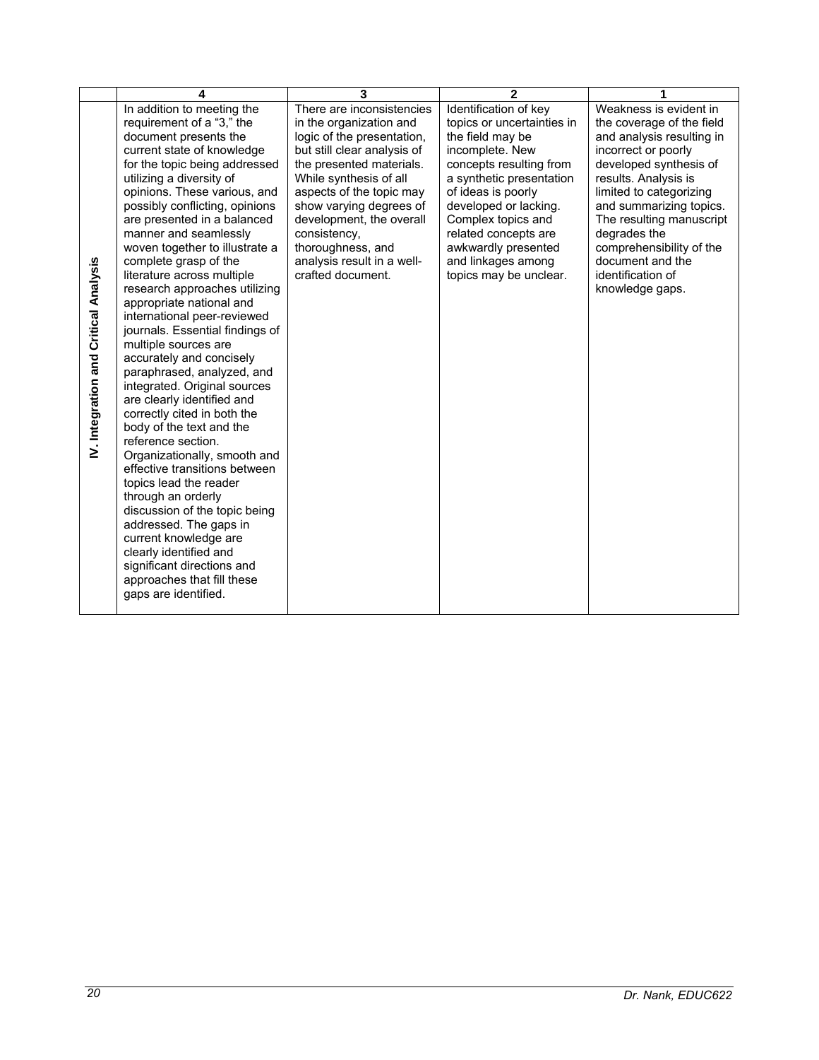|                                              | 4                                                                                                                                                                                                                                                                                                                                                                                                                                                                                                                                                                                                                                                                                                                                                                                                                                                                                                                                                                                                                                                                                 | 3                                                                                                                                                                                                                                                                                                                                                  | $\mathbf{2}$                                                                                                                                                                                                                                                                                                          | 1                                                                                                                                                                                                                                                                                                                                                   |
|----------------------------------------------|-----------------------------------------------------------------------------------------------------------------------------------------------------------------------------------------------------------------------------------------------------------------------------------------------------------------------------------------------------------------------------------------------------------------------------------------------------------------------------------------------------------------------------------------------------------------------------------------------------------------------------------------------------------------------------------------------------------------------------------------------------------------------------------------------------------------------------------------------------------------------------------------------------------------------------------------------------------------------------------------------------------------------------------------------------------------------------------|----------------------------------------------------------------------------------------------------------------------------------------------------------------------------------------------------------------------------------------------------------------------------------------------------------------------------------------------------|-----------------------------------------------------------------------------------------------------------------------------------------------------------------------------------------------------------------------------------------------------------------------------------------------------------------------|-----------------------------------------------------------------------------------------------------------------------------------------------------------------------------------------------------------------------------------------------------------------------------------------------------------------------------------------------------|
| <b>IV. Integration and Critical Analysis</b> | In addition to meeting the<br>requirement of a "3," the<br>document presents the<br>current state of knowledge<br>for the topic being addressed<br>utilizing a diversity of<br>opinions. These various, and<br>possibly conflicting, opinions<br>are presented in a balanced<br>manner and seamlessly<br>woven together to illustrate a<br>complete grasp of the<br>literature across multiple<br>research approaches utilizing<br>appropriate national and<br>international peer-reviewed<br>journals. Essential findings of<br>multiple sources are<br>accurately and concisely<br>paraphrased, analyzed, and<br>integrated. Original sources<br>are clearly identified and<br>correctly cited in both the<br>body of the text and the<br>reference section.<br>Organizationally, smooth and<br>effective transitions between<br>topics lead the reader<br>through an orderly<br>discussion of the topic being<br>addressed. The gaps in<br>current knowledge are<br>clearly identified and<br>significant directions and<br>approaches that fill these<br>gaps are identified. | There are inconsistencies<br>in the organization and<br>logic of the presentation,<br>but still clear analysis of<br>the presented materials.<br>While synthesis of all<br>aspects of the topic may<br>show varying degrees of<br>development, the overall<br>consistency,<br>thoroughness, and<br>analysis result in a well-<br>crafted document. | Identification of key<br>topics or uncertainties in<br>the field may be<br>incomplete. New<br>concepts resulting from<br>a synthetic presentation<br>of ideas is poorly<br>developed or lacking.<br>Complex topics and<br>related concepts are<br>awkwardly presented<br>and linkages among<br>topics may be unclear. | Weakness is evident in<br>the coverage of the field<br>and analysis resulting in<br>incorrect or poorly<br>developed synthesis of<br>results. Analysis is<br>limited to categorizing<br>and summarizing topics.<br>The resulting manuscript<br>degrades the<br>comprehensibility of the<br>document and the<br>identification of<br>knowledge gaps. |